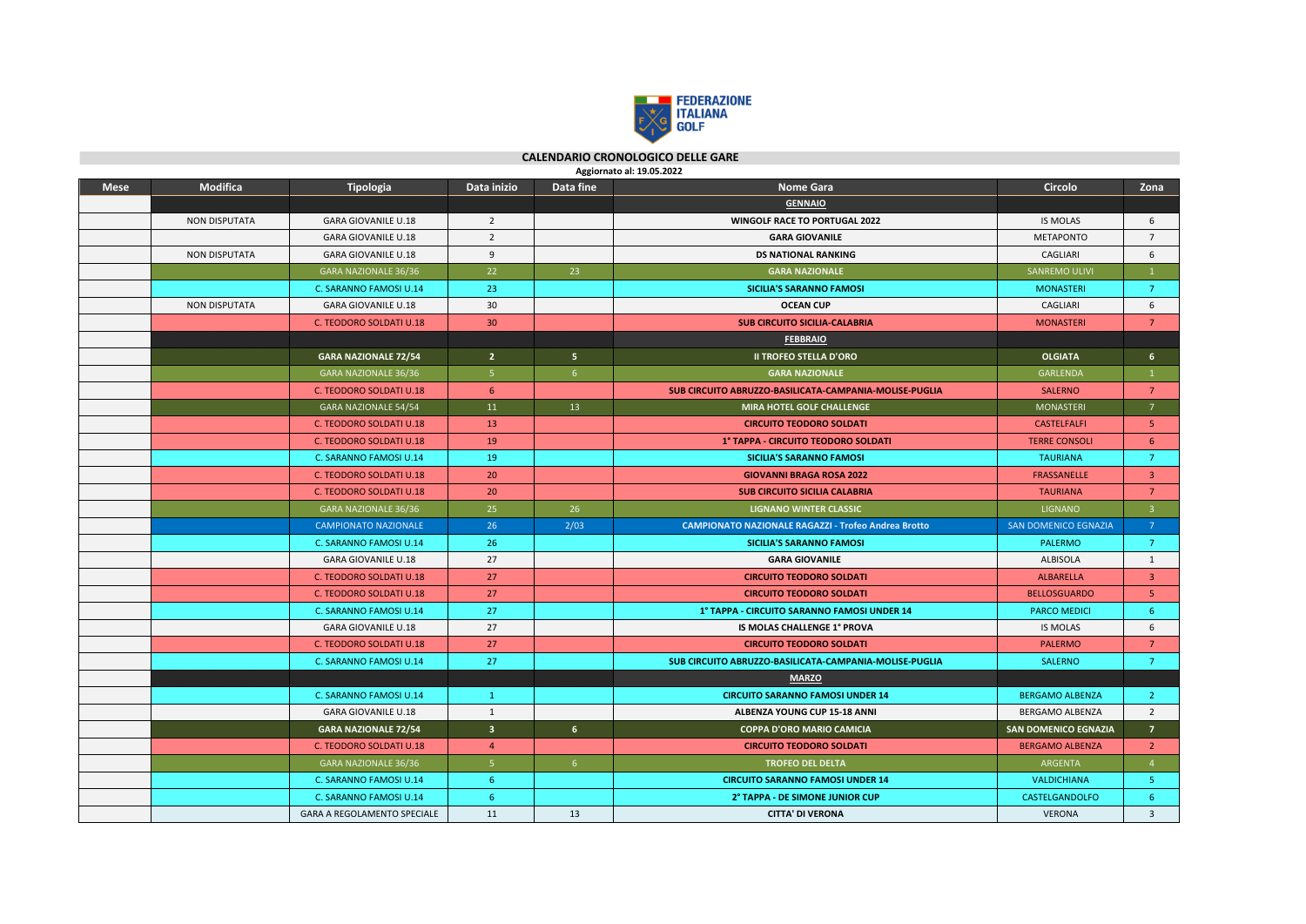

 **CALENDARIO CRONOLOGICO DELLE GARE** 

|             | Aggiornato al: 19.05.2022 |                                |                         |                 |                                                            |                             |                         |  |  |  |  |  |
|-------------|---------------------------|--------------------------------|-------------------------|-----------------|------------------------------------------------------------|-----------------------------|-------------------------|--|--|--|--|--|
| <b>Mese</b> | <b>Modifica</b>           | Tipologia                      | Data inizio             | Data fine       | <b>Nome Gara</b>                                           | Circolo                     | Zona                    |  |  |  |  |  |
|             |                           |                                |                         |                 | <b>GENNAIO</b>                                             |                             |                         |  |  |  |  |  |
|             | <b>NON DISPUTATA</b>      | <b>GARA GIOVANILE U.18</b>     | $\overline{2}$          |                 | WINGOLF RACE TO PORTUGAL 2022                              | <b>IS MOLAS</b>             | 6                       |  |  |  |  |  |
|             |                           | <b>GARA GIOVANILE U.18</b>     | $\overline{2}$          |                 | <b>GARA GIOVANILE</b>                                      | <b>METAPONTO</b>            | $7^{\circ}$             |  |  |  |  |  |
|             | <b>NON DISPUTATA</b>      | <b>GARA GIOVANILE U.18</b>     | 9                       |                 | <b>DS NATIONAL RANKING</b>                                 | CAGLIARI                    | 6                       |  |  |  |  |  |
|             |                           | <b>GARA NAZIONALE 36/36</b>    | 22                      | 23              | <b>GARA NAZIONALE</b>                                      | SANREMO ULIVI               |                         |  |  |  |  |  |
|             |                           | C. SARANNO FAMOSI U.14         | 23                      |                 | <b>SICILIA'S SARANNO FAMOSI</b>                            | <b>MONASTERI</b>            | $\overline{7}$          |  |  |  |  |  |
|             | <b>NON DISPUTATA</b>      | <b>GARA GIOVANILE U.18</b>     | 30                      |                 | <b>OCEAN CUP</b>                                           | CAGLIARI                    | 6                       |  |  |  |  |  |
|             |                           | C. TEODORO SOLDATI U.18        | 30 <sup>°</sup>         |                 | <b>SUB CIRCUITO SICILIA-CALABRIA</b>                       | <b>MONASTERI</b>            | $\overline{7}$          |  |  |  |  |  |
|             |                           |                                |                         |                 | <b>FEBBRAIO</b>                                            |                             |                         |  |  |  |  |  |
|             |                           | <b>GARA NAZIONALE 72/54</b>    | 2 <sup>7</sup>          | 5 <sup>1</sup>  | <b>II TROFEO STELLA D'ORO</b>                              | <b>OLGIATA</b>              | 6                       |  |  |  |  |  |
|             |                           | <b>GARA NAZIONALE 36/36</b>    | 5 <sup>1</sup>          | 6 <sup>1</sup>  | <b>GARA NAZIONALE</b>                                      | <b>GARLENDA</b>             | $\mathbf{1}$            |  |  |  |  |  |
|             |                           | C. TEODORO SOLDATI U.18        | 6                       |                 | SUB CIRCUITO ABRUZZO-BASILICATA-CAMPANIA-MOLISE-PUGLIA     | <b>SALERNO</b>              | $7\phantom{.}$          |  |  |  |  |  |
|             |                           | <b>GARA NAZIONALE 54/54</b>    | 11                      | 13 <sup>°</sup> | MIRA HOTEL GOLF CHALLENGE                                  | <b>MONASTERI</b>            | 7 <sup>7</sup>          |  |  |  |  |  |
|             |                           | C. TEODORO SOLDATI U.18        | 13                      |                 | <b>CIRCUITO TEODORO SOLDATI</b>                            | <b>CASTELFALFI</b>          | 5                       |  |  |  |  |  |
|             |                           | <b>C. TEODORO SOLDATI U.18</b> | 19                      |                 | 1° TAPPA - CIRCUITO TEODORO SOLDATI                        | <b>TERRE CONSOLI</b>        | 6                       |  |  |  |  |  |
|             |                           | C. SARANNO FAMOSI U.14         | 19                      |                 | <b>SICILIA'S SARANNO FAMOSI</b>                            | <b>TAURIANA</b>             | $\overline{7}$          |  |  |  |  |  |
|             |                           | C. TEODORO SOLDATI U.18        | 20                      |                 | <b>GIOVANNI BRAGA ROSA 2022</b>                            | <b>FRASSANELLE</b>          | $\overline{3}$          |  |  |  |  |  |
|             |                           | C. TEODORO SOLDATI U.18        | 20                      |                 | <b>SUB CIRCUITO SICILIA CALABRIA</b>                       | <b>TAURIANA</b>             | $\overline{7}$          |  |  |  |  |  |
|             |                           | <b>GARA NAZIONALE 36/36</b>    | 25                      | 26              | <b>LIGNANO WINTER CLASSIC</b>                              | <b>LIGNANO</b>              | $\overline{3}$          |  |  |  |  |  |
|             |                           | <b>CAMPIONATO NAZIONALE</b>    | 26                      | 2/03            | <b>CAMPIONATO NAZIONALE RAGAZZI - Trofeo Andrea Brotto</b> | <b>SAN DOMENICO EGNAZIA</b> | $\overline{7}$          |  |  |  |  |  |
|             |                           | C. SARANNO FAMOSI U.14         | 26                      |                 | <b>SICILIA'S SARANNO FAMOSI</b>                            | PALERMO                     | $\overline{7}$          |  |  |  |  |  |
|             |                           | <b>GARA GIOVANILE U.18</b>     | 27                      |                 | <b>GARA GIOVANILE</b>                                      | <b>ALBISOLA</b>             | 1                       |  |  |  |  |  |
|             |                           | C. TEODORO SOLDATI U.18        | 27                      |                 | <b>CIRCUITO TEODORO SOLDATI</b>                            | <b>ALBARELLA</b>            | $\overline{3}$          |  |  |  |  |  |
|             |                           | <b>C. TEODORO SOLDATI U.18</b> | 27                      |                 | <b>CIRCUITO TEODORO SOLDATI</b>                            | <b>BELLOSGUARDO</b>         | 5 <sub>1</sub>          |  |  |  |  |  |
|             |                           | C. SARANNO FAMOSI U.14         | 27                      |                 | 1° TAPPA - CIRCUITO SARANNO FAMOSI UNDER 14                | <b>PARCO MEDICI</b>         | -6                      |  |  |  |  |  |
|             |                           | <b>GARA GIOVANILE U.18</b>     | 27                      |                 | <b>IS MOLAS CHALLENGE 1° PROVA</b>                         | <b>IS MOLAS</b>             | 6                       |  |  |  |  |  |
|             |                           | C. TEODORO SOLDATI U.18        | 27                      |                 | <b>CIRCUITO TEODORO SOLDATI</b>                            | <b>PALERMO</b>              | $7^{\circ}$             |  |  |  |  |  |
|             |                           | C. SARANNO FAMOSI U.14         | 27                      |                 | SUB CIRCUITO ABRUZZO-BASILICATA-CAMPANIA-MOLISE-PUGLIA     | <b>SALERNO</b>              | $\overline{7}$          |  |  |  |  |  |
|             |                           |                                |                         |                 | <b>MARZO</b>                                               |                             |                         |  |  |  |  |  |
|             |                           | C. SARANNO FAMOSI U.14         | $\mathbf{1}$            |                 | <b>CIRCUITO SARANNO FAMOSI UNDER 14</b>                    | <b>BERGAMO ALBENZA</b>      | $\overline{2}$          |  |  |  |  |  |
|             |                           | <b>GARA GIOVANILE U.18</b>     | $\mathbf{1}$            |                 | ALBENZA YOUNG CUP 15-18 ANNI                               | BERGAMO ALBENZA             | $\overline{2}$          |  |  |  |  |  |
|             |                           | <b>GARA NAZIONALE 72/54</b>    | $\overline{\mathbf{3}}$ | $6\overline{6}$ | <b>COPPA D'ORO MARIO CAMICIA</b>                           | <b>SAN DOMENICO EGNAZIA</b> | $\overline{7}$          |  |  |  |  |  |
|             |                           | C. TEODORO SOLDATI U.18        | $\overline{4}$          |                 | <b>CIRCUITO TEODORO SOLDATI</b>                            | <b>BERGAMO ALBENZA</b>      | $\overline{2}$          |  |  |  |  |  |
|             |                           | GARA NAZIONALE 36/36           | 5 <sup>1</sup>          | 6 <sup>1</sup>  | <b>TROFEO DEL DELTA</b>                                    | ARGENTA                     | $\overline{4}$          |  |  |  |  |  |
|             |                           | C. SARANNO FAMOSI U.14         | 6                       |                 | <b>CIRCUITO SARANNO FAMOSI UNDER 14</b>                    | <b>VALDICHIANA</b>          | -5.                     |  |  |  |  |  |
|             |                           | C. SARANNO FAMOSI U.14         | 6 <sup>1</sup>          |                 | 2° TAPPA - DE SIMONE JUNIOR CUP                            | CASTELGANDOLFO              | -6                      |  |  |  |  |  |
|             |                           | GARA A REGOLAMENTO SPECIALE    | 11                      | 13              | <b>CITTA' DI VERONA</b>                                    | <b>VERONA</b>               | $\overline{\mathbf{3}}$ |  |  |  |  |  |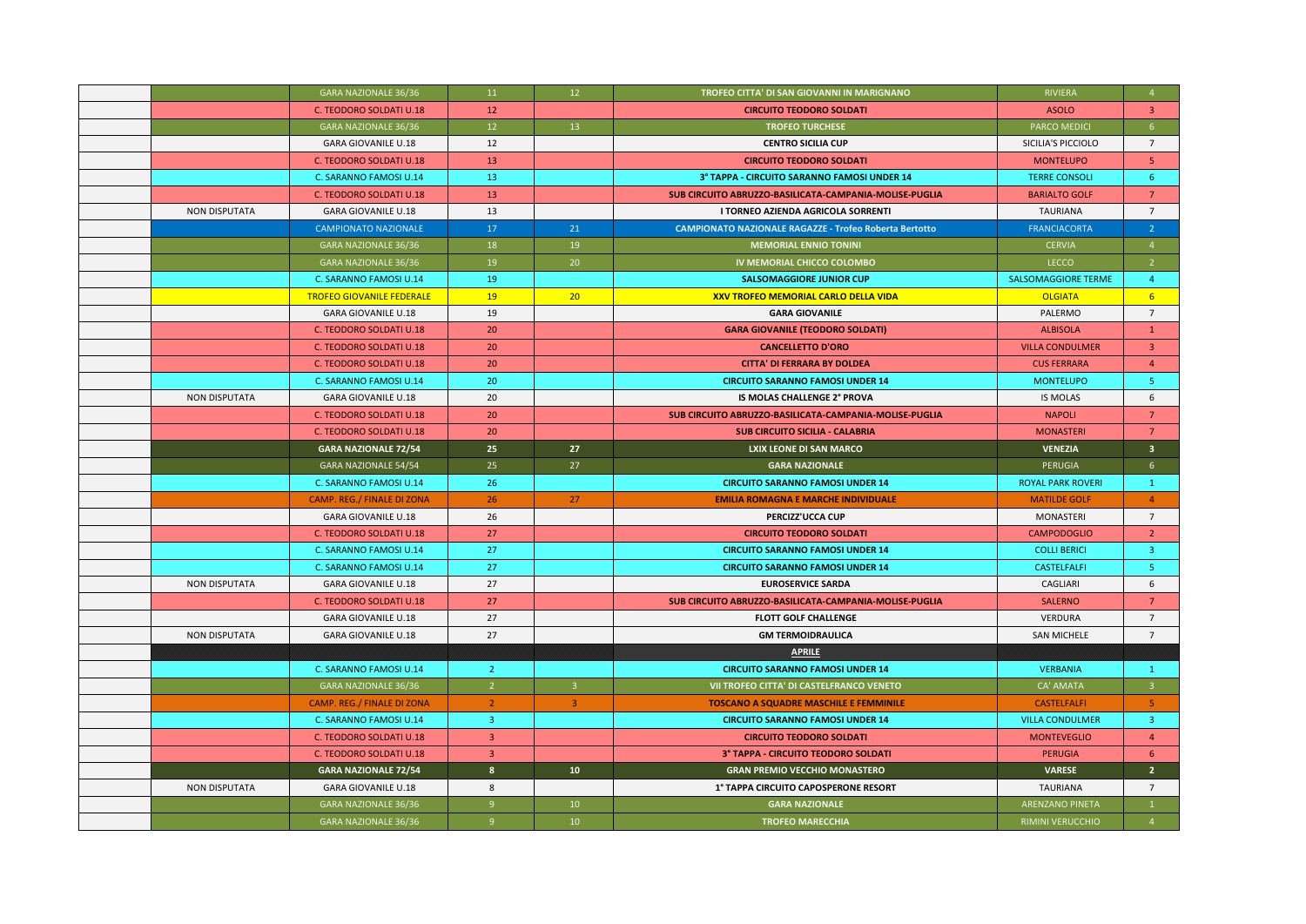|                      | GARA NAZIONALE 36/36             | 11               | 12                      | TROFEO CITTA' DI SAN GIOVANNI IN MARIGNANO                    | <b>RIVIERA</b>             | $\overline{4}$          |
|----------------------|----------------------------------|------------------|-------------------------|---------------------------------------------------------------|----------------------------|-------------------------|
|                      | C. TEODORO SOLDATI U.18          | 12               |                         | <b>CIRCUITO TEODORO SOLDATI</b>                               | <b>ASOLO</b>               | $\overline{3}$          |
|                      | GARA NAZIONALE 36/36             | 12 <sup>°</sup>  | 13                      | <b>TROFEO TURCHESE</b>                                        | PARCO MEDICI               | 6 <sup>1</sup>          |
|                      | <b>GARA GIOVANILE U.18</b>       | 12               |                         | <b>CENTRO SICILIA CUP</b>                                     | SICILIA'S PICCIOLO         | $\overline{7}$          |
|                      | C. TEODORO SOLDATI U.18          | 13               |                         | <b>CIRCUITO TEODORO SOLDATI</b>                               | <b>MONTELUPO</b>           | 5                       |
|                      | C. SARANNO FAMOSI U.14           | 13               |                         | 3° TAPPA - CIRCUITO SARANNO FAMOSI UNDER 14                   | <b>TERRE CONSOLI</b>       | -6                      |
|                      | C. TEODORO SOLDATI U.18          | 13               |                         | SUB CIRCUITO ABRUZZO-BASILICATA-CAMPANIA-MOLISE-PUGLIA        | <b>BARIALTO GOLF</b>       | $\overline{7}$          |
| <b>NON DISPUTATA</b> | <b>GARA GIOVANILE U.18</b>       | 13               |                         | I TORNEO AZIENDA AGRICOLA SORRENTI                            | <b>TAURIANA</b>            | $\overline{7}$          |
|                      | <b>CAMPIONATO NAZIONALE</b>      | 17               | 21                      | <b>CAMPIONATO NAZIONALE RAGAZZE - Trofeo Roberta Bertotto</b> | <b>FRANCIACORTA</b>        | $\overline{2}$          |
|                      | <b>GARA NAZIONALE 36/36</b>      | 18               | 19                      | <b>MEMORIAL ENNIO TONINI</b>                                  | <b>CERVIA</b>              | $\overline{4}$          |
|                      | GARA NAZIONALE 36/36             | 19               | 20                      | IV MEMORIAL CHICCO COLOMBO                                    | LECCO                      | $\overline{2}$          |
|                      | C. SARANNO FAMOSI U.14           | 19               |                         | <b>SALSOMAGGIORE JUNIOR CUP</b>                               | <b>SALSOMAGGIORE TERME</b> | $\overline{4}$          |
|                      | <b>TROFEO GIOVANILE FEDERALE</b> | 19               | 20                      | <b>XXV TROFEO MEMORIAL CARLO DELLA VIDA</b>                   | <b>OLGIATA</b>             | 6 <sup>1</sup>          |
|                      | <b>GARA GIOVANILE U.18</b>       | 19               |                         | <b>GARA GIOVANILE</b>                                         | PALERMO                    | $7\overline{ }$         |
|                      | C. TEODORO SOLDATI U.18          | 20               |                         | <b>GARA GIOVANILE (TEODORO SOLDATI)</b>                       | <b>ALBISOLA</b>            | $\mathbf{1}$            |
|                      | C. TEODORO SOLDATI U.18          | 20               |                         | <b>CANCELLETTO D'ORO</b>                                      | <b>VILLA CONDULMER</b>     | $\overline{3}$          |
|                      | C. TEODORO SOLDATI U.18          | 20               |                         | <b>CITTA' DI FERRARA BY DOLDEA</b>                            | <b>CUS FERRARA</b>         | $\overline{4}$          |
|                      | C. SARANNO FAMOSI U.14           | 20               |                         | <b>CIRCUITO SARANNO FAMOSI UNDER 14</b>                       | <b>MONTELUPO</b>           | -5                      |
| <b>NON DISPUTATA</b> | <b>GARA GIOVANILE U.18</b>       | 20               |                         | IS MOLAS CHALLENGE 2° PROVA                                   | IS MOLAS                   | 6                       |
|                      | C. TEODORO SOLDATI U.18          | 20               |                         | SUB CIRCUITO ABRUZZO-BASILICATA-CAMPANIA-MOLISE-PUGLIA        | <b>NAPOLI</b>              | 7                       |
|                      | C. TEODORO SOLDATI U.18          | 20               |                         | <b>SUB CIRCUITO SICILIA - CALABRIA</b>                        | <b>MONASTERI</b>           | 7                       |
|                      | <b>GARA NAZIONALE 72/54</b>      | 25               | 27                      | <b>LXIX LEONE DI SAN MARCO</b>                                | <b>VENEZIA</b>             | 3 <sup>1</sup>          |
|                      | GARA NAZIONALE 54/54             | 25               | 27                      | <b>GARA NAZIONALE</b>                                         | PERUGIA                    | $6^{\circ}$             |
|                      | C. SARANNO FAMOSI U.14           | 26               |                         | <b>CIRCUITO SARANNO FAMOSI UNDER 14</b>                       | <b>ROYAL PARK ROVERI</b>   | $\mathbf{1}$            |
|                      | CAMP. REG./ FINALE DI ZONA       | 26               | 27                      | <b>EMILIA ROMAGNA E MARCHE INDIVIDUALE</b>                    | <b>MATILDE GOLF</b>        | $\overline{4}$          |
|                      | <b>GARA GIOVANILE U.18</b>       | 26               |                         | PERCIZZ'UCCA CUP                                              | MONASTERI                  | $7\overline{ }$         |
|                      | C. TEODORO SOLDATI U.18          | 27               |                         | <b>CIRCUITO TEODORO SOLDATI</b>                               | <b>CAMPODOGLIO</b>         | $\overline{2}$          |
|                      | C. SARANNO FAMOSI U.14           | 27               |                         | <b>CIRCUITO SARANNO FAMOSI UNDER 14</b>                       | <b>COLLI BERICI</b>        | $\overline{3}$          |
|                      | C. SARANNO FAMOSI U.14           | 27               |                         | <b>CIRCUITO SARANNO FAMOSI UNDER 14</b>                       | CASTELFALFI                | 5 <sub>1</sub>          |
| <b>NON DISPUTATA</b> | <b>GARA GIOVANILE U.18</b>       | 27               |                         | <b>EUROSERVICE SARDA</b>                                      | CAGLIARI                   | 6                       |
|                      | <b>C. TEODORO SOLDATI U.18</b>   | 27               |                         | SUB CIRCUITO ABRUZZO-BASILICATA-CAMPANIA-MOLISE-PUGLIA        | <b>SALERNO</b>             | $7\overline{ }$         |
|                      | <b>GARA GIOVANILE U.18</b>       | 27               |                         | <b>FLOTT GOLF CHALLENGE</b>                                   | VERDURA                    | $7\overline{ }$         |
| <b>NON DISPUTATA</b> | <b>GARA GIOVANILE U.18</b>       | 27               |                         | <b>GM TERMOIDRAULICA</b>                                      | <b>SAN MICHELE</b>         | $\overline{7}$          |
|                      |                                  |                  |                         | <b>APRILE</b>                                                 |                            |                         |
|                      | C. SARANNO FAMOSI U.14           | $\overline{2}$   |                         | <b>CIRCUITO SARANNO FAMOSI UNDER 14</b>                       | <b>VERBANIA</b>            | $\mathbf{1}$            |
|                      | <b>GARA NAZIONALE 36/36</b>      | 2 <sup>7</sup>   | 3 <sup>1</sup>          | VII TROFEO CITTA' DI CASTELFRANCO VENETO                      | CA' AMATA                  | 3 <sup>1</sup>          |
|                      | CAMP. REG./ FINALE DI ZONA       | 2 <sup>7</sup>   | $\overline{\mathbf{3}}$ | <b>TOSCANO A SQUADRE MASCHILE E FEMMINILE</b>                 | <b>CASTELFALFI</b>         | $-5$                    |
|                      | C. SARANNO FAMOSI U.14           | $\overline{3}$   |                         | <b>CIRCUITO SARANNO FAMOSI UNDER 14</b>                       | <b>VILLA CONDULMER</b>     | $\overline{\mathbf{3}}$ |
|                      | C. TEODORO SOLDATI U.18          | 3 <sup>2</sup>   |                         | <b>CIRCUITO TEODORO SOLDATI</b>                               | <b>MONTEVEGLIO</b>         | $\overline{4}$          |
|                      | C. TEODORO SOLDATI U.18          | 3 <sup>2</sup>   |                         | 3° TAPPA - CIRCUITO TEODORO SOLDATI                           | <b>PERUGIA</b>             | 6                       |
|                      | <b>GARA NAZIONALE 72/54</b>      | $\boldsymbol{8}$ | 10 <sup>°</sup>         | <b>GRAN PREMIO VECCHIO MONASTERO</b>                          | <b>VARESE</b>              | 2 <sup>7</sup>          |
| <b>NON DISPUTATA</b> | <b>GARA GIOVANILE U.18</b>       | 8                |                         | 1° TAPPA CIRCUITO CAPOSPERONE RESORT                          | <b>TAURIANA</b>            | $7^{\circ}$             |
|                      | GARA NAZIONALE 36/36             | 9                | 10 <sup>°</sup>         | <b>GARA NAZIONALE</b>                                         | <b>ARENZANO PINETA</b>     |                         |
|                      | <b>GARA NAZIONALE 36/36</b>      | 9                | 10                      | <b>TROFEO MARECCHIA</b>                                       | <b>RIMINI VERUCCHIO</b>    | $\overline{4}$          |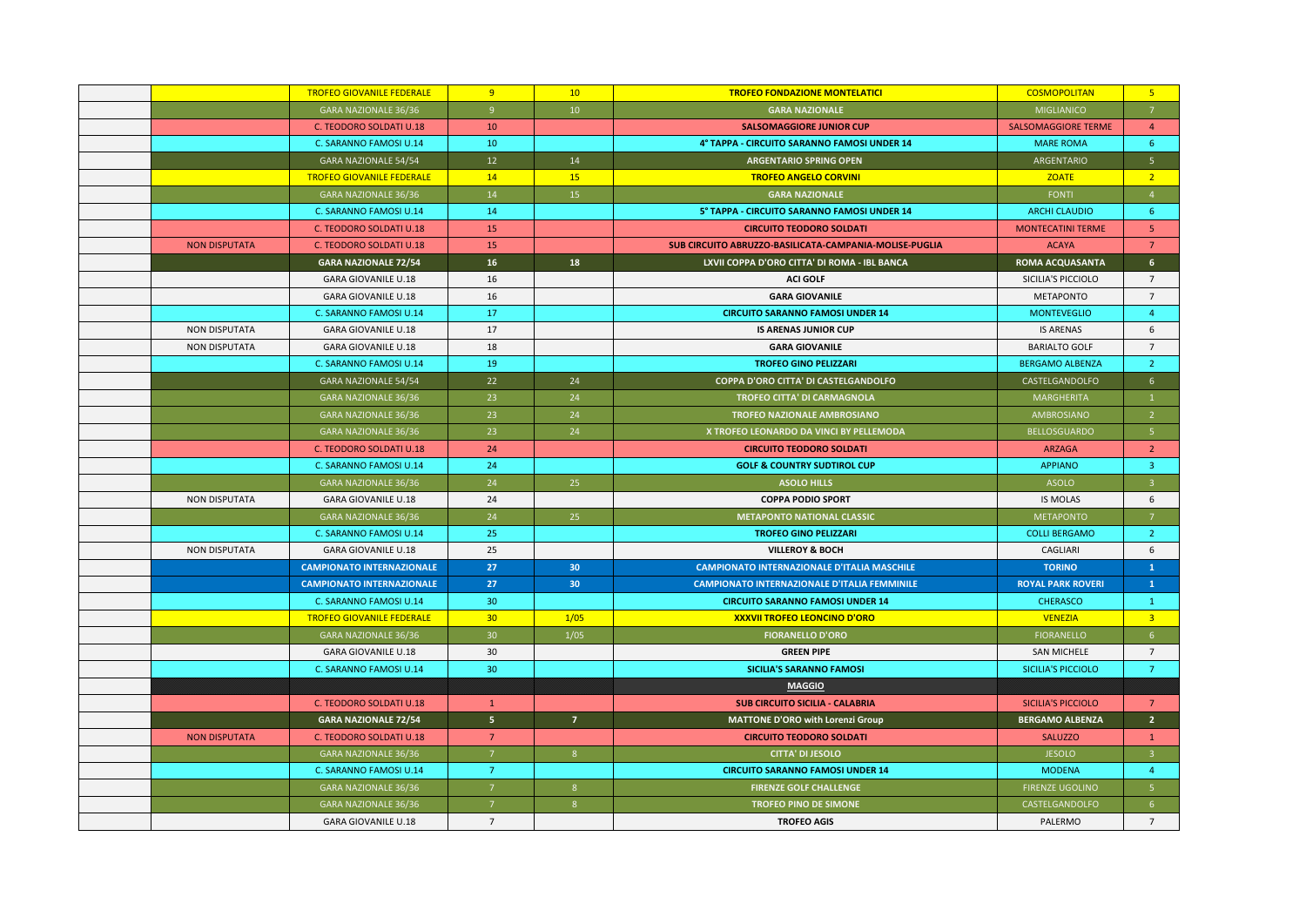|                      | <b>TROFEO GIOVANILE FEDERALE</b> | 9               | 10              | <b>TROFEO FONDAZIONE MONTELATICI</b>                   | <b>COSMOPOLITAN</b>        | 5 <sub>o</sub>          |
|----------------------|----------------------------------|-----------------|-----------------|--------------------------------------------------------|----------------------------|-------------------------|
|                      | GARA NAZIONALE 36/36             | 9               | 10              | <b>GARA NAZIONALE</b>                                  | MIGLIANICO                 | $\overline{7}$          |
|                      | C. TEODORO SOLDATI U.18          | 10              |                 | <b>SALSOMAGGIORE JUNIOR CUP</b>                        | <b>SALSOMAGGIORE TERME</b> | $\overline{4}$          |
|                      | C. SARANNO FAMOSI U.14           | 10              |                 | 4° TAPPA - CIRCUITO SARANNO FAMOSI UNDER 14            | <b>MARE ROMA</b>           | 6                       |
|                      | GARA NAZIONALE 54/54             | 12 <sup>7</sup> | 14              | <b>ARGENTARIO SPRING OPEN</b>                          | ARGENTARIO                 | 5 <sup>7</sup>          |
|                      | <b>TROFEO GIOVANILE FEDERALE</b> | 14              | 15              | <b>TROFEO ANGELO CORVINI</b>                           | <b>ZOATE</b>               | $\overline{2}$          |
|                      | GARA NAZIONALE 36/36             | 14              | 15              | <b>GARA NAZIONALE</b>                                  | FONTI                      | $\overline{4}$          |
|                      | C. SARANNO FAMOSI U.14           | 14              |                 | 5° TAPPA - CIRCUITO SARANNO FAMOSI UNDER 14            | <b>ARCHI CLAUDIO</b>       | -6                      |
|                      | C. TEODORO SOLDATI U.18          | 15              |                 | <b>CIRCUITO TEODORO SOLDATI</b>                        | <b>MONTECATINI TERME</b>   | 5 <sup>°</sup>          |
| <b>NON DISPUTATA</b> | C. TEODORO SOLDATI U.18          | 15              |                 | SUB CIRCUITO ABRUZZO-BASILICATA-CAMPANIA-MOLISE-PUGLIA | <b>ACAYA</b>               | $\overline{7}$          |
|                      | <b>GARA NAZIONALE 72/54</b>      | 16              | 18              | LXVII COPPA D'ORO CITTA' DI ROMA - IBL BANCA           | <b>ROMA ACQUASANTA</b>     | 6 <sup>1</sup>          |
|                      | <b>GARA GIOVANILE U.18</b>       | 16              |                 | <b>ACI GOLF</b>                                        | SICILIA'S PICCIOLO         | $\overline{7}$          |
|                      | <b>GARA GIOVANILE U.18</b>       | 16              |                 | <b>GARA GIOVANILE</b>                                  | <b>METAPONTO</b>           | $\overline{7}$          |
|                      | C. SARANNO FAMOSI U.14           | 17              |                 | <b>CIRCUITO SARANNO FAMOSI UNDER 14</b>                | <b>MONTEVEGLIO</b>         | $\overline{4}$          |
| <b>NON DISPUTATA</b> | <b>GARA GIOVANILE U.18</b>       | 17              |                 | <b>IS ARENAS JUNIOR CUP</b>                            | <b>IS ARENAS</b>           | 6                       |
| <b>NON DISPUTATA</b> | <b>GARA GIOVANILE U.18</b>       | 18              |                 | <b>GARA GIOVANILE</b>                                  | <b>BARIALTO GOLF</b>       | $\overline{7}$          |
|                      | C. SARANNO FAMOSI U.14           | 19              |                 | <b>TROFEO GINO PELIZZARI</b>                           | <b>BERGAMO ALBENZA</b>     | $\overline{2}$          |
|                      | <b>GARA NAZIONALE 54/54</b>      | 22              | 24              | COPPA D'ORO CITTA' DI CASTELGANDOLFO                   | CASTELGANDOLFO             | 6 <sup>1</sup>          |
|                      | GARA NAZIONALE 36/36             | 23              | 24              | TROFEO CITTA' DI CARMAGNOLA                            | MARGHERITA                 | $\mathbf{1}$            |
|                      | <b>GARA NAZIONALE 36/36</b>      | 23              | 24              | <b>TROFEO NAZIONALE AMBROSIANO</b>                     | AMBROSIANO                 | $\overline{2}$          |
|                      | GARA NAZIONALE 36/36             | 23              | 24              | X TROFEO LEONARDO DA VINCI BY PELLEMODA                | <b>BELLOSGUARDO</b>        | 5 <sup>1</sup>          |
|                      | C. TEODORO SOLDATI U.18          | 24              |                 | <b>CIRCUITO TEODORO SOLDATI</b>                        | <b>ARZAGA</b>              | <sup>2</sup>            |
|                      | C. SARANNO FAMOSI U.14           | 24              |                 | <b>GOLF &amp; COUNTRY SUDTIROL CUP</b>                 | <b>APPIANO</b>             | $\overline{\mathbf{3}}$ |
|                      | GARA NAZIONALE 36/36             | 24              | 25              | <b>ASOLO HILLS</b>                                     | ASOLO                      | $\overline{3}$          |
| <b>NON DISPUTATA</b> | <b>GARA GIOVANILE U.18</b>       | 24              |                 | <b>COPPA PODIO SPORT</b>                               | <b>IS MOLAS</b>            | 6                       |
|                      | GARA NAZIONALE 36/36             | 24              | 25              | <b>METAPONTO NATIONAL CLASSIC</b>                      | <b>METAPONTO</b>           | $\overline{7}$          |
|                      | C. SARANNO FAMOSI U.14           | 25              |                 | <b>TROFEO GINO PELIZZARI</b>                           | <b>COLLI BERGAMO</b>       | $\overline{2}$          |
| <b>NON DISPUTATA</b> | <b>GARA GIOVANILE U.18</b>       | 25              |                 | <b>VILLEROY &amp; BOCH</b>                             | CAGLIARI                   | 6                       |
|                      | <b>CAMPIONATO INTERNAZIONALE</b> | 27              | 30 <sub>2</sub> | <b>CAMPIONATO INTERNAZIONALE D'ITALIA MASCHILE</b>     | <b>TORINO</b>              | $\mathbf{1}$            |
|                      | <b>CAMPIONATO INTERNAZIONALE</b> | 27              | 30 <sub>2</sub> | <b>CAMPIONATO INTERNAZIONALE D'ITALIA FEMMINILE</b>    | <b>ROYAL PARK ROVERI</b>   | $\mathbf{1}$            |
|                      | C. SARANNO FAMOSI U.14           | 30 <sub>2</sub> |                 | <b>CIRCUITO SARANNO FAMOSI UNDER 14</b>                | <b>CHERASCO</b>            | $\mathbf{1}$            |
|                      | <b>TROFEO GIOVANILE FEDERALE</b> | 30 <sub>2</sub> | 1/05            | XXXVII TROFEO LEONCINO D'ORO                           | <b>VENEZIA</b>             | $\overline{3}$          |
|                      | <b>GARA NAZIONALE 36/36</b>      | 30 <sup>°</sup> | 1/05            | <b>FIORANELLO D'ORO</b>                                | <b>FIORANELLO</b>          | 6 <sup>1</sup>          |
|                      | <b>GARA GIOVANILE U.18</b>       | 30              |                 | <b>GREEN PIPE</b>                                      | <b>SAN MICHELE</b>         | $7^{\circ}$             |
|                      | C. SARANNO FAMOSI U.14           | 30              |                 | <b>SICILIA'S SARANNO FAMOSI</b>                        | <b>SICILIA'S PICCIOLO</b>  | $\overline{7}$          |
|                      |                                  |                 |                 | <b>MAGGIO</b>                                          |                            |                         |
|                      | C. TEODORO SOLDATI U.18          | $\mathbf{1}$    |                 | <b>SUB CIRCUITO SICILIA - CALABRIA</b>                 | <b>SICILIA'S PICCIOLO</b>  | $\overline{7}$          |
|                      | <b>GARA NAZIONALE 72/54</b>      | 5 <sub>1</sub>  | $\overline{7}$  | <b>MATTONE D'ORO with Lorenzi Group</b>                | <b>BERGAMO ALBENZA</b>     | 2 <sup>7</sup>          |
| <b>NON DISPUTATA</b> | C. TEODORO SOLDATI U.18          | $7^{\circ}$     |                 | <b>CIRCUITO TEODORO SOLDATI</b>                        | <b>SALUZZO</b>             | $\mathbf{1}$            |
|                      | GARA NAZIONALE 36/36             | 7 <sup>7</sup>  | 8 <sup>°</sup>  | <b>CITTA' DI JESOLO</b>                                | <b>JESOLO</b>              | $\overline{\mathbf{3}}$ |
|                      | C. SARANNO FAMOSI U.14           | <sup>7</sup>    |                 | <b>CIRCUITO SARANNO FAMOSI UNDER 14</b>                | <b>MODENA</b>              | $\overline{4}$          |
|                      | GARA NAZIONALE 36/36             | 7 <sup>7</sup>  | 8               | <b>FIRENZE GOLF CHALLENGE</b>                          | <b>FIRENZE UGOLINO</b>     | 5 <sup>1</sup>          |
|                      | <b>GARA NAZIONALE 36/36</b>      | $\overline{7}$  | 8               | <b>TROFEO PINO DE SIMONE</b>                           | CASTELGANDOLFO             | 6 <sup>1</sup>          |
|                      | <b>GARA GIOVANILE U.18</b>       | $7^{\circ}$     |                 | <b>TROFEO AGIS</b>                                     | PALERMO                    | $7^{\circ}$             |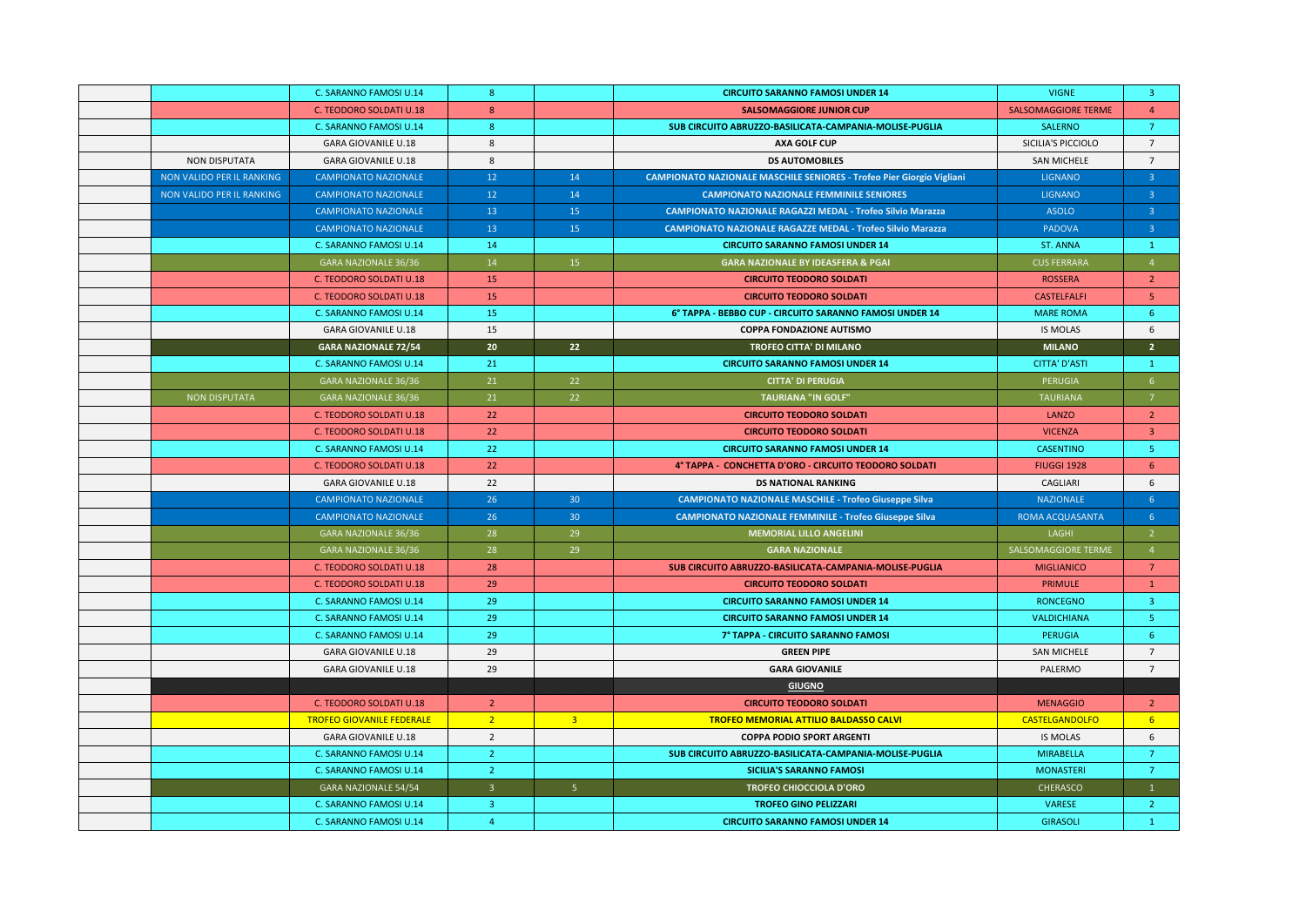|                           | C. SARANNO FAMOSI U.14           | 8 <sup>°</sup>  |                 | <b>CIRCUITO SARANNO FAMOSI UNDER 14</b>                                      | <b>VIGNE</b>               | $\overline{\mathbf{3}}$ |
|---------------------------|----------------------------------|-----------------|-----------------|------------------------------------------------------------------------------|----------------------------|-------------------------|
|                           | C. TEODORO SOLDATI U.18          | 8               |                 | <b>SALSOMAGGIORE JUNIOR CUP</b>                                              | <b>SALSOMAGGIORE TERME</b> | $\overline{4}$          |
|                           | C. SARANNO FAMOSI U.14           | 8 <sup>°</sup>  |                 | SUB CIRCUITO ABRUZZO-BASILICATA-CAMPANIA-MOLISE-PUGLIA                       | SALERNO                    | $\overline{7}$          |
|                           | <b>GARA GIOVANILE U.18</b>       | 8               |                 | <b>AXA GOLF CUP</b>                                                          | SICILIA'S PICCIOLO         | $7^{\circ}$             |
| <b>NON DISPUTATA</b>      | <b>GARA GIOVANILE U.18</b>       | 8               |                 | <b>DS AUTOMOBILES</b>                                                        | <b>SAN MICHELE</b>         | $\overline{7}$          |
| NON VALIDO PER IL RANKING | <b>CAMPIONATO NAZIONALE</b>      | 12 <sup>7</sup> | 14              | <b>CAMPIONATO NAZIONALE MASCHILE SENIORES - Trofeo Pier Giorgio Vigliani</b> | <b>LIGNANO</b>             | $\overline{3}$          |
| NON VALIDO PER IL RANKING | <b>CAMPIONATO NAZIONALE</b>      | 12              | 14              | <b>CAMPIONATO NAZIONALE FEMMINILE SENIORES</b>                               | <b>LIGNANO</b>             | 3 <sup>°</sup>          |
|                           | <b>CAMPIONATO NAZIONALE</b>      | 13              | 15              | <b>CAMPIONATO NAZIONALE RAGAZZI MEDAL - Trofeo Silvio Marazza</b>            | <b>ASOLO</b>               | $\overline{3}$          |
|                           | <b>CAMPIONATO NAZIONALE</b>      | 13              | 15              | <b>CAMPIONATO NAZIONALE RAGAZZE MEDAL - Trofeo Silvio Marazza</b>            | PADOVA                     | 3 <sup>2</sup>          |
|                           | C. SARANNO FAMOSI U.14           | 14              |                 | <b>CIRCUITO SARANNO FAMOSI UNDER 14</b>                                      | <b>ST. ANNA</b>            | $\mathbf{1}$            |
|                           | GARA NAZIONALE 36/36             | 14              | 15              | <b>GARA NAZIONALE BY IDEASFERA &amp; PGAI</b>                                | <b>CUS FERRARA</b>         | $\overline{4}$          |
|                           | C. TEODORO SOLDATI U.18          | 15              |                 | <b>CIRCUITO TEODORO SOLDATI</b>                                              | <b>ROSSERA</b>             | $2^{\circ}$             |
|                           | C. TEODORO SOLDATI U.18          | 15              |                 | <b>CIRCUITO TEODORO SOLDATI</b>                                              | <b>CASTELFALFI</b>         | 5                       |
|                           | C. SARANNO FAMOSI U.14           | 15              |                 | 6° TAPPA - BEBBO CUP - CIRCUITO SARANNO FAMOSI UNDER 14                      | <b>MARE ROMA</b>           | 6                       |
|                           | <b>GARA GIOVANILE U.18</b>       | 15              |                 | <b>COPPA FONDAZIONE AUTISMO</b>                                              | <b>IS MOLAS</b>            | 6                       |
|                           | <b>GARA NAZIONALE 72/54</b>      | 20 <sub>2</sub> | 22              | TROFEO CITTA' DI MILANO                                                      | <b>MILANO</b>              | $\overline{2}$          |
|                           | C. SARANNO FAMOSI U.14           | 21              |                 | <b>CIRCUITO SARANNO FAMOSI UNDER 14</b>                                      | <b>CITTA' D'ASTI</b>       | $\mathbf{1}$            |
|                           | GARA NAZIONALE 36/36             | 21              | 22              | <b>CITTA' DI PERUGIA</b>                                                     | <b>PERUGIA</b>             | 6                       |
| <b>NON DISPUTATA</b>      | <b>GARA NAZIONALE 36/36</b>      | 21              | 22              | <b>TAURIANA "IN GOLF"</b>                                                    | <b>TAURIANA</b>            | $\overline{7}$          |
|                           | C. TEODORO SOLDATI U.18          | 22              |                 | <b>CIRCUITO TEODORO SOLDATI</b>                                              | <b>LANZO</b>               | $\overline{2}$          |
|                           | C. TEODORO SOLDATI U.18          | 22              |                 | <b>CIRCUITO TEODORO SOLDATI</b>                                              | <b>VICENZA</b>             | $\overline{\mathbf{3}}$ |
|                           | C. SARANNO FAMOSI U.14           | 22              |                 | <b>CIRCUITO SARANNO FAMOSI UNDER 14</b>                                      | <b>CASENTINO</b>           | -5                      |
|                           | C. TEODORO SOLDATI U.18          | 22              |                 | 4° TAPPA - CONCHETTA D'ORO - CIRCUITO TEODORO SOLDATI                        | <b>FIUGGI 1928</b>         | 6                       |
|                           | <b>GARA GIOVANILE U.18</b>       | 22              |                 | <b>DS NATIONAL RANKING</b>                                                   | CAGLIARI                   | 6                       |
|                           | <b>CAMPIONATO NAZIONALE</b>      | 26              | 30 <sup>°</sup> | <b>CAMPIONATO NAZIONALE MASCHILE - Trofeo Giuseppe Silva</b>                 | <b>NAZIONALE</b>           | 6 <sup>°</sup>          |
|                           | <b>CAMPIONATO NAZIONALE</b>      | 26              | 30 <sup>°</sup> | <b>CAMPIONATO NAZIONALE FEMMINILE - Trofeo Giuseppe Silva</b>                | ROMA ACQUASANTA            | 6 <sup>1</sup>          |
|                           | <b>GARA NAZIONALE 36/36</b>      | 28              | 29              | <b>MEMORIAL LILLO ANGELINI</b>                                               | LAGHI                      | $2^{\circ}$             |
|                           | <b>GARA NAZIONALE 36/36</b>      | 28              | 29              | <b>GARA NAZIONALE</b>                                                        | SALSOMAGGIORE TERME        | $\overline{4}$          |
|                           | C. TEODORO SOLDATI U.18          | 28              |                 | SUB CIRCUITO ABRUZZO-BASILICATA-CAMPANIA-MOLISE-PUGLIA                       | <b>MIGLIANICO</b>          | $\overline{7}$          |
|                           | C. TEODORO SOLDATI U.18          | 29              |                 | <b>CIRCUITO TEODORO SOLDATI</b>                                              | <b>PRIMULE</b>             | $\mathbf{1}$            |
|                           | C. SARANNO FAMOSI U.14           | 29              |                 | <b>CIRCUITO SARANNO FAMOSI UNDER 14</b>                                      | <b>RONCEGNO</b>            | $\overline{3}$          |
|                           | C. SARANNO FAMOSI U.14           | 29              |                 | <b>CIRCUITO SARANNO FAMOSI UNDER 14</b>                                      | VALDICHIANA                | -5                      |
|                           | C. SARANNO FAMOSI U.14           | 29              |                 | 7° TAPPA - CIRCUITO SARANNO FAMOSI                                           | PERUGIA                    | 6                       |
|                           | <b>GARA GIOVANILE U.18</b>       | 29              |                 | <b>GREEN PIPE</b>                                                            | <b>SAN MICHELE</b>         | $\overline{7}$          |
|                           | <b>GARA GIOVANILE U.18</b>       | 29              |                 | <b>GARA GIOVANILE</b>                                                        | PALERMO                    | $7^{\circ}$             |
|                           |                                  |                 |                 | <b>GIUGNO</b>                                                                |                            |                         |
|                           | C. TEODORO SOLDATI U.18          | <sup>2</sup>    |                 | <b>CIRCUITO TEODORO SOLDATI</b>                                              | <b>MENAGGIO</b>            | <sup>2</sup>            |
|                           | <b>TROFEO GIOVANILE FEDERALE</b> | 2 <sup>7</sup>  | $\overline{3}$  | <b>TROFEO MEMORIAL ATTILIO BALDASSO CALVI</b>                                | <b>CASTELGANDOLFO</b>      | 6 <sup>°</sup>          |
|                           | <b>GARA GIOVANILE U.18</b>       | 2               |                 | <b>COPPA PODIO SPORT ARGENTI</b>                                             | <b>IS MOLAS</b>            | 6                       |
|                           | C. SARANNO FAMOSI U.14           | $\overline{2}$  |                 | SUB CIRCUITO ABRUZZO-BASILICATA-CAMPANIA-MOLISE-PUGLIA                       | <b>MIRABELLA</b>           | $\overline{7}$          |
|                           | C. SARANNO FAMOSI U.14           | $\overline{2}$  |                 | <b>SICILIA'S SARANNO FAMOSI</b>                                              | <b>MONASTERI</b>           | $\overline{7}$          |
|                           | <b>GARA NAZIONALE 54/54</b>      | $\overline{3}$  | 5 <sup>1</sup>  | <b>TROFEO CHIOCCIOLA D'ORO</b>                                               | <b>CHERASCO</b>            | $\mathbf{1}$            |
|                           | C. SARANNO FAMOSI U.14           | $\overline{3}$  |                 | <b>TROFEO GINO PELIZZARI</b>                                                 | <b>VARESE</b>              | $\overline{2}$          |
|                           | C. SARANNO FAMOSI U.14           | $\overline{4}$  |                 | <b>CIRCUITO SARANNO FAMOSI UNDER 14</b>                                      | <b>GIRASOLI</b>            | -1                      |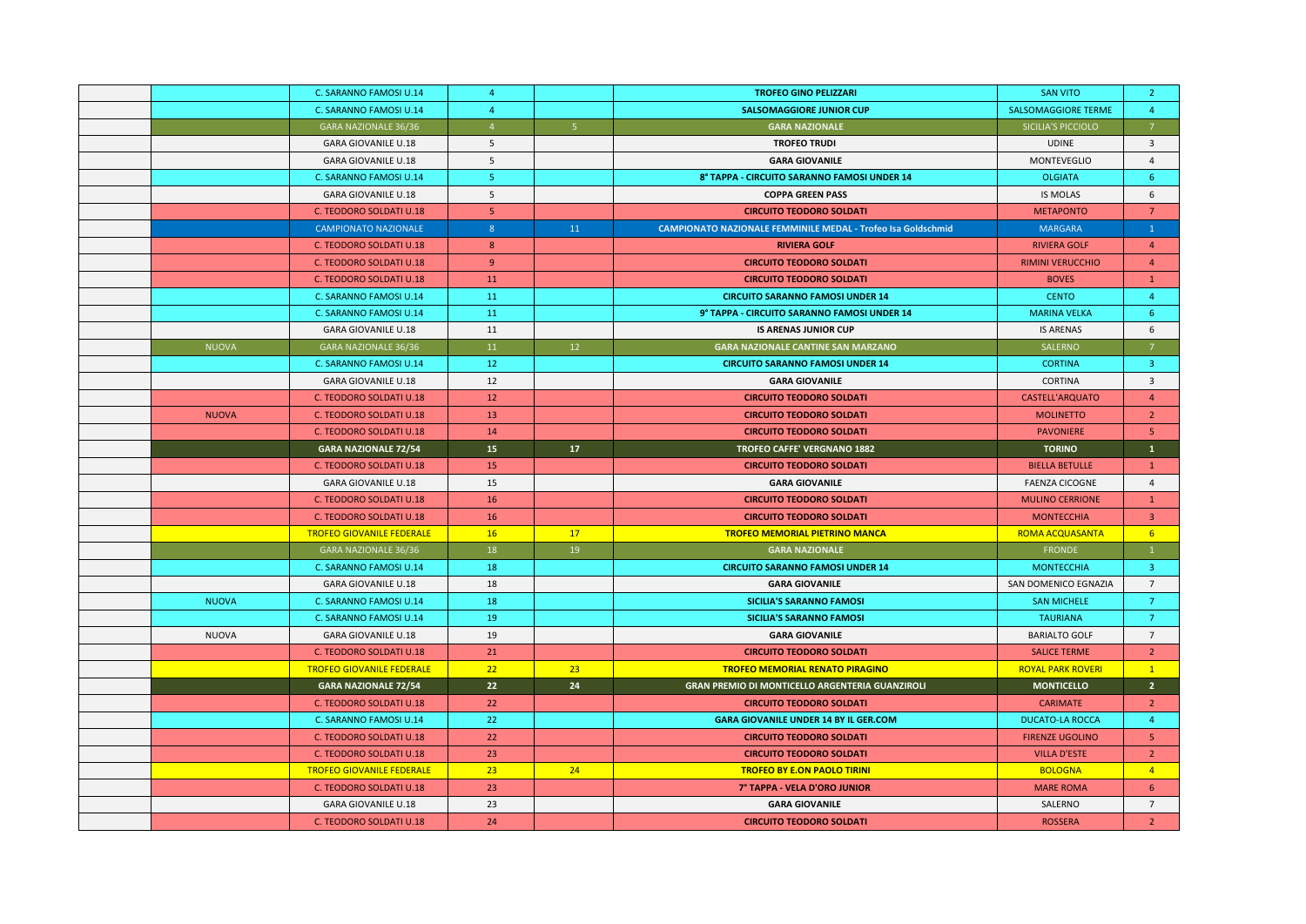|              | C. SARANNO FAMOSI U.14           | $\overline{4}$  |                | <b>TROFEO GINO PELIZZARI</b>                                        | <b>SAN VITO</b>            | $\overline{2}$  |
|--------------|----------------------------------|-----------------|----------------|---------------------------------------------------------------------|----------------------------|-----------------|
|              | C. SARANNO FAMOSI U.14           | $\overline{4}$  |                | <b>SALSOMAGGIORE JUNIOR CUP</b>                                     | <b>SALSOMAGGIORE TERME</b> | $\overline{4}$  |
|              | GARA NAZIONALE 36/36             | $\overline{4}$  | 5 <sub>5</sub> | <b>GARA NAZIONALE</b>                                               | SICILIA'S PICCIOLO         | $\overline{7}$  |
|              | <b>GARA GIOVANILE U.18</b>       | 5               |                | <b>TROFEO TRUDI</b>                                                 | <b>UDINE</b>               | $\overline{3}$  |
|              | <b>GARA GIOVANILE U.18</b>       | 5               |                | <b>GARA GIOVANILE</b>                                               | MONTEVEGLIO                | $\overline{4}$  |
|              | C. SARANNO FAMOSI U.14           | 5 <sub>1</sub>  |                | 8° TAPPA - CIRCUITO SARANNO FAMOSI UNDER 14                         | <b>OLGIATA</b>             | 6               |
|              | <b>GARA GIOVANILE U.18</b>       | 5               |                | <b>COPPA GREEN PASS</b>                                             | <b>IS MOLAS</b>            | 6               |
|              | C. TEODORO SOLDATI U.18          | 5 <sup>7</sup>  |                | <b>CIRCUITO TEODORO SOLDATI</b>                                     | <b>METAPONTO</b>           | $7\overline{ }$ |
|              | <b>CAMPIONATO NAZIONALE</b>      | 8 <sup>°</sup>  | 11             | <b>CAMPIONATO NAZIONALE FEMMINILE MEDAL - Trofeo Isa Goldschmid</b> | <b>MARGARA</b>             | $\mathbf{1}$    |
|              | C. TEODORO SOLDATI U.18          | 8               |                | <b>RIVIERA GOLF</b>                                                 | <b>RIVIERA GOLF</b>        | $\overline{4}$  |
|              | C. TEODORO SOLDATI U.18          | 9               |                | <b>CIRCUITO TEODORO SOLDATI</b>                                     | <b>RIMINI VERUCCHIO</b>    | $\overline{4}$  |
|              | C. TEODORO SOLDATI U.18          | 11              |                | <b>CIRCUITO TEODORO SOLDATI</b>                                     | <b>BOVES</b>               | $\mathbf{1}$    |
|              | C. SARANNO FAMOSI U.14           | 11              |                | <b>CIRCUITO SARANNO FAMOSI UNDER 14</b>                             | <b>CENTO</b>               | $\overline{4}$  |
|              | C. SARANNO FAMOSI U.14           | 11              |                | 9° TAPPA - CIRCUITO SARANNO FAMOSI UNDER 14                         | <b>MARINA VELKA</b>        | -6              |
|              | <b>GARA GIOVANILE U.18</b>       | 11              |                | <b>IS ARENAS JUNIOR CUP</b>                                         | <b>IS ARENAS</b>           | 6               |
| <b>NUOVA</b> | <b>GARA NAZIONALE 36/36</b>      | 11              | 12             | <b>GARA NAZIONALE CANTINE SAN MARZANO</b>                           | SALERNO                    | $\overline{7}$  |
|              | C. SARANNO FAMOSI U.14           | 12              |                | <b>CIRCUITO SARANNO FAMOSI UNDER 14</b>                             | <b>CORTINA</b>             | $\overline{3}$  |
|              | <b>GARA GIOVANILE U.18</b>       | 12              |                | <b>GARA GIOVANILE</b>                                               | <b>CORTINA</b>             | $\overline{3}$  |
|              | C. TEODORO SOLDATI U.18          | 12              |                | <b>CIRCUITO TEODORO SOLDATI</b>                                     | <b>CASTELL'ARQUATO</b>     | $\overline{4}$  |
| <b>NUOVA</b> | C. TEODORO SOLDATI U.18          | 13              |                | <b>CIRCUITO TEODORO SOLDATI</b>                                     | <b>MOLINETTO</b>           | $\overline{2}$  |
|              | C. TEODORO SOLDATI U.18          | 14              |                | <b>CIRCUITO TEODORO SOLDATI</b>                                     | <b>PAVONIERE</b>           | 5 <sub>o</sub>  |
|              | <b>GARA NAZIONALE 72/54</b>      | 15 <sub>1</sub> | 17             | TROFEO CAFFE' VERGNANO 1882                                         | <b>TORINO</b>              | $\mathbf{1}$    |
|              | C. TEODORO SOLDATI U.18          | 15              |                | <b>CIRCUITO TEODORO SOLDATI</b>                                     | <b>BIELLA BETULLE</b>      | $\mathbf{1}$    |
|              | <b>GARA GIOVANILE U.18</b>       | 15              |                | <b>GARA GIOVANILE</b>                                               | <b>FAENZA CICOGNE</b>      | $\overline{4}$  |
|              | C. TEODORO SOLDATI U.18          | 16              |                | <b>CIRCUITO TEODORO SOLDATI</b>                                     | <b>MULINO CERRIONE</b>     | $\mathbf{1}$    |
|              | C. TEODORO SOLDATI U.18          | 16              |                | <b>CIRCUITO TEODORO SOLDATI</b>                                     | <b>MONTECCHIA</b>          | $\overline{3}$  |
|              | <b>TROFEO GIOVANILE FEDERALE</b> | 16              | 17             | <b>TROFEO MEMORIAL PIETRINO MANCA</b>                               | <b>ROMA ACQUASANTA</b>     | 6               |
|              | GARA NAZIONALE 36/36             | 18              | 19             | <b>GARA NAZIONALE</b>                                               | <b>FRONDE</b>              | $\mathbf{1}$    |
|              | C. SARANNO FAMOSI U.14           | 18              |                | <b>CIRCUITO SARANNO FAMOSI UNDER 14</b>                             | <b>MONTECCHIA</b>          | $\overline{3}$  |
|              | <b>GARA GIOVANILE U.18</b>       | 18              |                | <b>GARA GIOVANILE</b>                                               | SAN DOMENICO EGNAZIA       | $\overline{7}$  |
| <b>NUOVA</b> | C. SARANNO FAMOSI U.14           | 18              |                | <b>SICILIA'S SARANNO FAMOSI</b>                                     | <b>SAN MICHELE</b>         | 7               |
|              | C. SARANNO FAMOSI U.14           | 19              |                | <b>SICILIA'S SARANNO FAMOSI</b>                                     | <b>TAURIANA</b>            | $\overline{7}$  |
| <b>NUOVA</b> | <b>GARA GIOVANILE U.18</b>       | 19              |                | <b>GARA GIOVANILE</b>                                               | <b>BARIALTO GOLF</b>       | $\overline{7}$  |
|              | C. TEODORO SOLDATI U.18          | 21              |                | <b>CIRCUITO TEODORO SOLDATI</b>                                     | <b>SALICE TERME</b>        | $\overline{2}$  |
|              | <b>TROFEO GIOVANILE FEDERALE</b> | 22              | 23             | <b>TROFEO MEMORIAL RENATO PIRAGINO</b>                              | <b>ROYAL PARK ROVERI</b>   | $\mathbf{1}$    |
|              | <b>GARA NAZIONALE 72/54</b>      | 22              | 24             | <b>GRAN PREMIO DI MONTICELLO ARGENTERIA GUANZIROLI</b>              | <b>MONTICELLO</b>          | 2 <sup>7</sup>  |
|              | C. TEODORO SOLDATI U.18          | 22              |                | <b>CIRCUITO TEODORO SOLDATI</b>                                     | <b>CARIMATE</b>            | $\overline{2}$  |
|              | C. SARANNO FAMOSI U.14           | 22              |                | <b>GARA GIOVANILE UNDER 14 BY IL GER.COM</b>                        | <b>DUCATO-LA ROCCA</b>     | $\overline{4}$  |
|              | <b>C. TEODORO SOLDATI U.18</b>   | 22              |                | <b>CIRCUITO TEODORO SOLDATI</b>                                     | <b>FIRENZE UGOLINO</b>     | 5               |
|              | <b>C. TEODORO SOLDATI U.18</b>   | 23              |                | <b>CIRCUITO TEODORO SOLDATI</b>                                     | <b>VILLA D'ESTE</b>        | $\overline{2}$  |
|              | <b>TROFEO GIOVANILE FEDERALE</b> | 23              | 24             | <b>TROFEO BY E.ON PAOLO TIRINI</b>                                  | <b>BOLOGNA</b>             | $\overline{4}$  |
|              | C. TEODORO SOLDATI U.18          | 23              |                | 7° TAPPA - VELA D'ORO JUNIOR                                        | <b>MARE ROMA</b>           | 6 <sup>1</sup>  |
|              | <b>GARA GIOVANILE U.18</b>       | 23              |                | <b>GARA GIOVANILE</b>                                               | SALERNO                    | $\overline{7}$  |
|              | C. TEODORO SOLDATI U.18          | 24              |                | <b>CIRCUITO TEODORO SOLDATI</b>                                     | <b>ROSSERA</b>             | $\overline{2}$  |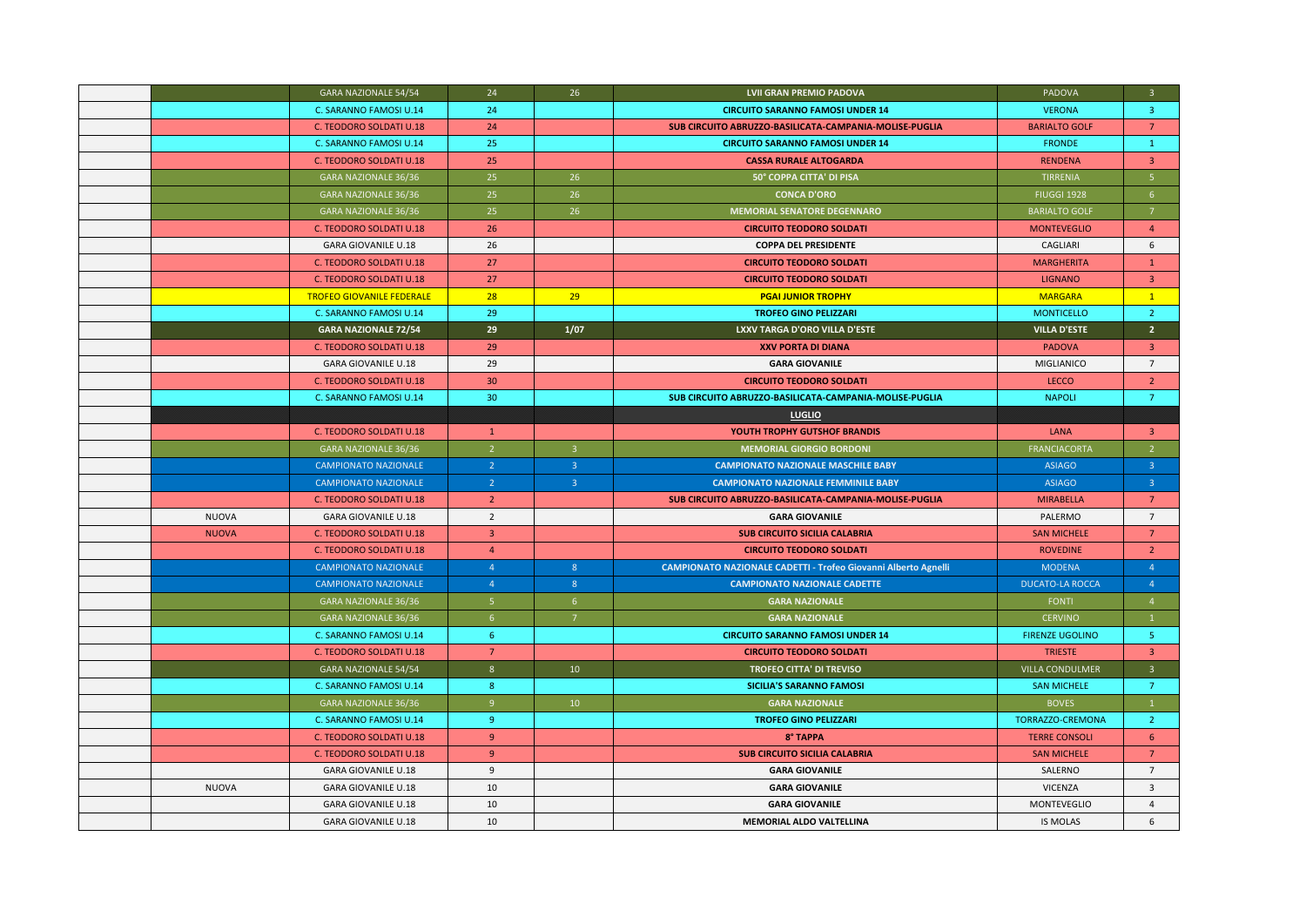|              | GARA NAZIONALE 54/54             | 24             | 26                      | <b>LVII GRAN PREMIO PADOVA</b>                                        | PADOVA                 | $\overline{3}$          |
|--------------|----------------------------------|----------------|-------------------------|-----------------------------------------------------------------------|------------------------|-------------------------|
|              | C. SARANNO FAMOSI U.14           | 24             |                         | <b>CIRCUITO SARANNO FAMOSI UNDER 14</b>                               | <b>VERONA</b>          | $\overline{3}$          |
|              | C. TEODORO SOLDATI U.18          | 24             |                         | SUB CIRCUITO ABRUZZO-BASILICATA-CAMPANIA-MOLISE-PUGLIA                | <b>BARIALTO GOLF</b>   | $7^{\circ}$             |
|              | C. SARANNO FAMOSI U.14           | 25             |                         | <b>CIRCUITO SARANNO FAMOSI UNDER 14</b>                               | <b>FRONDE</b>          | $\mathbf{1}$            |
|              | C. TEODORO SOLDATI U.18          | 25             |                         | <b>CASSA RURALE ALTOGARDA</b>                                         | <b>RENDENA</b>         | $\overline{\mathbf{3}}$ |
|              | <b>GARA NAZIONALE 36/36</b>      | 25             | 26                      | 50° COPPA CITTA' DI PISA                                              | <b>TIRRENIA</b>        | $\overline{5}$          |
|              | GARA NAZIONALE 36/36             | 25             | 26                      | <b>CONCA D'ORO</b>                                                    | <b>FIUGGI 1928</b>     | 6 <sup>1</sup>          |
|              | GARA NAZIONALE 36/36             | 25             | 26                      | <b>MEMORIAL SENATORE DEGENNARO</b>                                    | <b>BARIALTO GOLF</b>   | $\overline{7}$          |
|              | C. TEODORO SOLDATI U.18          | 26             |                         | <b>CIRCUITO TEODORO SOLDATI</b>                                       | <b>MONTEVEGLIO</b>     | $\overline{4}$          |
|              | <b>GARA GIOVANILE U.18</b>       | 26             |                         | <b>COPPA DEL PRESIDENTE</b>                                           | CAGLIARI               | 6                       |
|              | C. TEODORO SOLDATI U.18          | 27             |                         | <b>CIRCUITO TEODORO SOLDATI</b>                                       | <b>MARGHERITA</b>      | $\mathbf{1}$            |
|              | C. TEODORO SOLDATI U.18          | 27             |                         | <b>CIRCUITO TEODORO SOLDATI</b>                                       | <b>LIGNANO</b>         | $\overline{3}$          |
|              | <b>TROFEO GIOVANILE FEDERALE</b> | 28             | 29                      | <b>PGAI JUNIOR TROPHY</b>                                             | <b>MARGARA</b>         | $\mathbf{1}$            |
|              | C. SARANNO FAMOSI U.14           | 29             |                         | <b>TROFEO GINO PELIZZARI</b>                                          | <b>MONTICELLO</b>      | $\overline{2}$          |
|              | <b>GARA NAZIONALE 72/54</b>      | 29             | 1/07                    | LXXV TARGA D'ORO VILLA D'ESTE                                         | <b>VILLA D'ESTE</b>    | 2 <sup>1</sup>          |
|              | C. TEODORO SOLDATI U.18          | 29             |                         | <b>XXV PORTA DI DIANA</b>                                             | <b>PADOVA</b>          | $\overline{3}$          |
|              | <b>GARA GIOVANILE U.18</b>       | 29             |                         | <b>GARA GIOVANILE</b>                                                 | MIGLIANICO             | $7^{\circ}$             |
|              | C. TEODORO SOLDATI U.18          | 30             |                         | <b>CIRCUITO TEODORO SOLDATI</b>                                       | LECCO                  | $\overline{2}$          |
|              | C. SARANNO FAMOSI U.14           | 30             |                         | SUB CIRCUITO ABRUZZO-BASILICATA-CAMPANIA-MOLISE-PUGLIA                | <b>NAPOLI</b>          | $\overline{7}$          |
|              |                                  |                |                         | <b>LUGLIO</b>                                                         |                        |                         |
|              | C. TEODORO SOLDATI U.18          | $\mathbf{1}$   |                         | YOUTH TROPHY GUTSHOF BRANDIS                                          | <b>LANA</b>            | $\overline{3}$          |
|              | GARA NAZIONALE 36/36             | $\overline{2}$ | $\overline{\mathbf{3}}$ | <b>MEMORIAL GIORGIO BORDONI</b>                                       | FRANCIACORTA           | $\overline{2}$          |
|              | <b>CAMPIONATO NAZIONALE</b>      | $\overline{2}$ | $\overline{3}$          | <b>CAMPIONATO NAZIONALE MASCHILE BABY</b>                             | <b>ASIAGO</b>          | 3 <sup>2</sup>          |
|              | <b>CAMPIONATO NAZIONALE</b>      | $\overline{2}$ | $\overline{\mathbf{3}}$ | <b>CAMPIONATO NAZIONALE FEMMINILE BABY</b>                            | <b>ASIAGO</b>          | 3 <sup>°</sup>          |
|              | C. TEODORO SOLDATI U.18          | $\overline{2}$ |                         | SUB CIRCUITO ABRUZZO-BASILICATA-CAMPANIA-MOLISE-PUGLIA                | <b>MIRABELLA</b>       | $7^{\circ}$             |
| <b>NUOVA</b> | <b>GARA GIOVANILE U.18</b>       | $\overline{2}$ |                         | <b>GARA GIOVANILE</b>                                                 | PALERMO                | $\overline{7}$          |
| <b>NUOVA</b> | C. TEODORO SOLDATI U.18          | $\overline{3}$ |                         | <b>SUB CIRCUITO SICILIA CALABRIA</b>                                  | <b>SAN MICHELE</b>     | 7                       |
|              | <b>C. TEODORO SOLDATI U.18</b>   | $\overline{4}$ |                         | <b>CIRCUITO TEODORO SOLDATI</b>                                       | <b>ROVEDINE</b>        | $\overline{2}$          |
|              | <b>CAMPIONATO NAZIONALE</b>      | $\overline{4}$ | 8 <sup>°</sup>          | <b>CAMPIONATO NAZIONALE CADETTI - Trofeo Giovanni Alberto Agnelli</b> | <b>MODENA</b>          | $\overline{4}$          |
|              | <b>CAMPIONATO NAZIONALE</b>      | $\overline{4}$ | 8                       | <b>CAMPIONATO NAZIONALE CADETTE</b>                                   | <b>DUCATO-LA ROCCA</b> | $\overline{4}$          |
|              | GARA NAZIONALE 36/36             | 5 <sup>1</sup> | 6                       | <b>GARA NAZIONALE</b>                                                 | FONTI                  | $\overline{4}$          |
|              | GARA NAZIONALE 36/36             | 6 <sup>1</sup> | $\overline{7}$          | <b>GARA NAZIONALE</b>                                                 | <b>CERVINO</b>         | $\vert$ 1               |
|              | C. SARANNO FAMOSI U.14           | 6              |                         | <b>CIRCUITO SARANNO FAMOSI UNDER 14</b>                               | <b>FIRENZE UGOLINO</b> | -5.                     |
|              | C. TEODORO SOLDATI U.18          | $\overline{7}$ |                         | <b>CIRCUITO TEODORO SOLDATI</b>                                       | <b>TRIESTE</b>         | $\overline{3}$          |
|              | <b>GARA NAZIONALE 54/54</b>      | 8 <sup>°</sup> | 10                      | <b>TROFEO CITTA' DI TREVISO</b>                                       | VILLA CONDULMER        | $\overline{\mathbf{3}}$ |
|              | C. SARANNO FAMOSI U.14           | 8 <sup>°</sup> |                         | <b>SICILIA'S SARANNO FAMOSI</b>                                       | <b>SAN MICHELE</b>     | 7                       |
|              | GARA NAZIONALE 36/36             | 9              | 10                      | <b>GARA NAZIONALE</b>                                                 | <b>BOVES</b>           | $\mathbf{1}$            |
|              | C. SARANNO FAMOSI U.14           | 9 <sup>°</sup> |                         | <b>TROFEO GINO PELIZZARI</b>                                          | TORRAZZO-CREMONA       | $\overline{2}$          |
|              | C. TEODORO SOLDATI U.18          | 9 <sup>°</sup> |                         | 8° TAPPA                                                              | <b>TERRE CONSOLI</b>   | 6                       |
|              | C. TEODORO SOLDATI U.18          | 9              |                         | <b>SUB CIRCUITO SICILIA CALABRIA</b>                                  | <b>SAN MICHELE</b>     | $\overline{7}$          |
|              | <b>GARA GIOVANILE U.18</b>       | $\overline{9}$ |                         | <b>GARA GIOVANILE</b>                                                 | SALERNO                | $\overline{7}$          |
| <b>NUOVA</b> | <b>GARA GIOVANILE U.18</b>       | 10             |                         | <b>GARA GIOVANILE</b>                                                 | <b>VICENZA</b>         | $\overline{3}$          |
|              | <b>GARA GIOVANILE U.18</b>       | 10             |                         | <b>GARA GIOVANILE</b>                                                 | <b>MONTEVEGLIO</b>     | $\overline{4}$          |
|              | <b>GARA GIOVANILE U.18</b>       | 10             |                         | MEMORIAL ALDO VALTELLINA                                              | <b>IS MOLAS</b>        | 6                       |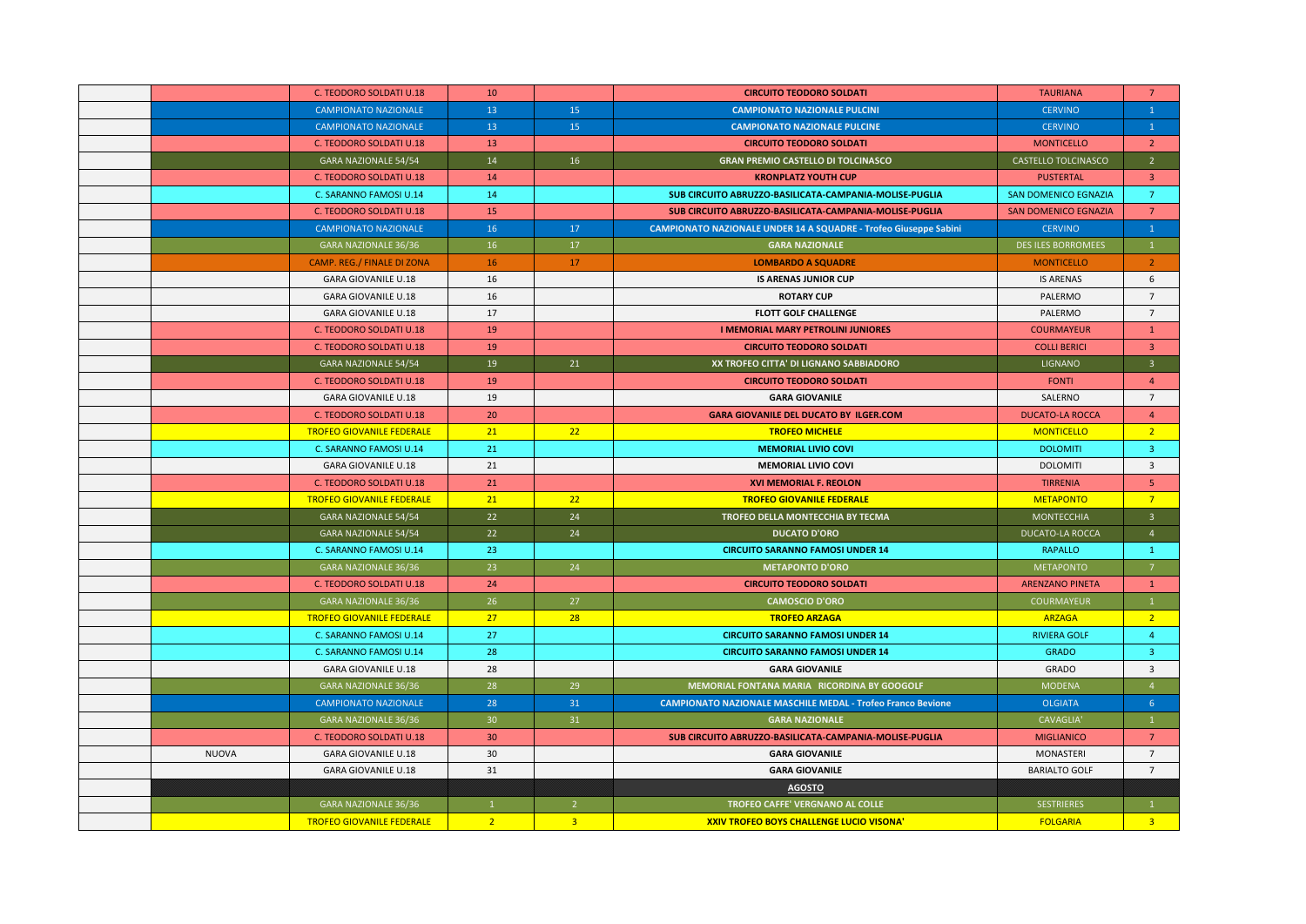|              | C. TEODORO SOLDATI U.18           | 10              |                | <b>CIRCUITO TEODORO SOLDATI</b>                                         | <b>TAURIANA</b>             | $\overline{7}$          |
|--------------|-----------------------------------|-----------------|----------------|-------------------------------------------------------------------------|-----------------------------|-------------------------|
|              | <b>CAMPIONATO NAZIONALE</b>       | 13              | 15             | <b>CAMPIONATO NAZIONALE PULCINI</b>                                     | <b>CERVINO</b>              | $\mathbf{1}$            |
|              | <b>CAMPIONATO NAZIONALE</b>       | 13 <sup>°</sup> | 15             | <b>CAMPIONATO NAZIONALE PULCINE</b>                                     | <b>CERVINO</b>              | $\mathbf{1}$            |
|              | C. TEODORO SOLDATI U.18           | 13              |                | <b>CIRCUITO TEODORO SOLDATI</b>                                         | <b>MONTICELLO</b>           | $\overline{2}$          |
|              | <b>GARA NAZIONALE 54/54</b>       | 14              | 16             | <b>GRAN PREMIO CASTELLO DI TOLCINASCO</b>                               | CASTELLO TOLCINASCO         | $\overline{2}$          |
|              | C. TEODORO SOLDATI U.18           | 14              |                | <b>KRONPLATZ YOUTH CUP</b>                                              | <b>PUSTERTAL</b>            | $\overline{\mathbf{3}}$ |
|              | C. SARANNO FAMOSI U.14            | 14              |                | SUB CIRCUITO ABRUZZO-BASILICATA-CAMPANIA-MOLISE-PUGLIA                  | SAN DOMENICO EGNAZIA        | $7^{\circ}$             |
|              | <b>C. TEODORO SOLDATI U.18</b>    | 15              |                | SUB CIRCUITO ABRUZZO-BASILICATA-CAMPANIA-MOLISE-PUGLIA                  | <b>SAN DOMENICO EGNAZIA</b> | $\overline{7}$          |
|              | <b>CAMPIONATO NAZIONALE</b>       | 16              | 17             | <b>CAMPIONATO NAZIONALE UNDER 14 A SQUADRE - Trofeo Giuseppe Sabini</b> | <b>CERVINO</b>              | $\mathbf{1}$            |
|              | <b>GARA NAZIONALE 36/36</b>       | 16              | 17             | <b>GARA NAZIONALE</b>                                                   | <b>DES ILES BORROMEES</b>   | $\mathbf{1}$            |
|              | <b>CAMP. REG./ FINALE DI ZONA</b> | 16              | 17             | <b>LOMBARDO A SQUADRE</b>                                               | <b>MONTICELLO</b>           | 2 <sup>1</sup>          |
|              | <b>GARA GIOVANILE U.18</b>        | 16              |                | <b>IS ARENAS JUNIOR CUP</b>                                             | <b>IS ARENAS</b>            | 6                       |
|              | <b>GARA GIOVANILE U.18</b>        | 16              |                | <b>ROTARY CUP</b>                                                       | PALERMO                     | $\overline{7}$          |
|              | <b>GARA GIOVANILE U.18</b>        | 17              |                | <b>FLOTT GOLF CHALLENGE</b>                                             | PALERMO                     | $7\overline{ }$         |
|              | <b>C. TEODORO SOLDATI U.18</b>    | 19              |                | <b>I MEMORIAL MARY PETROLINI JUNIORES</b>                               | <b>COURMAYEUR</b>           | $\mathbf{1}$            |
|              | <b>C. TEODORO SOLDATI U.18</b>    | 19              |                | <b>CIRCUITO TEODORO SOLDATI</b>                                         | <b>COLLI BERICI</b>         | $\overline{3}$          |
|              | <b>GARA NAZIONALE 54/54</b>       | 19              | 21             | XX TROFEO CITTA' DI LIGNANO SABBIADORO                                  | <b>LIGNANO</b>              | $\overline{3}$          |
|              | C. TEODORO SOLDATI U.18           | 19              |                | <b>CIRCUITO TEODORO SOLDATI</b>                                         | <b>FONTI</b>                | $\overline{4}$          |
|              | <b>GARA GIOVANILE U.18</b>        | 19              |                | <b>GARA GIOVANILE</b>                                                   | SALERNO                     | $\overline{7}$          |
|              | C. TEODORO SOLDATI U.18           | 20              |                | <b>GARA GIOVANILE DEL DUCATO BY ILGER.COM</b>                           | <b>DUCATO-LA ROCCA</b>      | $\overline{4}$          |
|              | <b>TROFEO GIOVANILE FEDERALE</b>  | 21              | 22             | <b>TROFEO MICHELE</b>                                                   | <b>MONTICELLO</b>           | 2 <sup>2</sup>          |
|              | C. SARANNO FAMOSI U.14            | 21              |                | <b>MEMORIAL LIVIO COVI</b>                                              | <b>DOLOMITI</b>             | $\overline{3}$          |
|              | <b>GARA GIOVANILE U.18</b>        | 21              |                | <b>MEMORIAL LIVIO COVI</b>                                              | <b>DOLOMITI</b>             | $\overline{3}$          |
|              | C. TEODORO SOLDATI U.18           | 21              |                | <b>XVI MEMORIAL F. REOLON</b>                                           | <b>TIRRENIA</b>             | 5 <sup>1</sup>          |
|              | <b>TROFEO GIOVANILE FEDERALE</b>  | 21              | 22             | <b>TROFEO GIOVANILE FEDERALE</b>                                        | <b>METAPONTO</b>            | $\overline{7}$          |
|              | <b>GARA NAZIONALE 54/54</b>       | 22              | 24             | TROFEO DELLA MONTECCHIA BY TECMA                                        | <b>MONTECCHIA</b>           | $\overline{3}$          |
|              | <b>GARA NAZIONALE 54/54</b>       | 22              | 24             | <b>DUCATO D'ORO</b>                                                     | <b>DUCATO-LA ROCCA</b>      | $\overline{4}$          |
|              | C. SARANNO FAMOSI U.14            | 23              |                | <b>CIRCUITO SARANNO FAMOSI UNDER 14</b>                                 | <b>RAPALLO</b>              | $\mathbf{1}$            |
|              | <b>GARA NAZIONALE 36/36</b>       | 23 <sup>°</sup> | 24             | <b>METAPONTO D'ORO</b>                                                  | METAPONTO                   | $\overline{7}$          |
|              | C. TEODORO SOLDATI U.18           | 24              |                | <b>CIRCUITO TEODORO SOLDATI</b>                                         | <b>ARENZANO PINETA</b>      | $\mathbf{1}$            |
|              | GARA NAZIONALE 36/36              | 26              | 27             | <b>CAMOSCIO D'ORO</b>                                                   | COURMAYEUR                  | $\mathbf{1}$            |
|              | <b>TROFEO GIOVANILE FEDERALE</b>  | 27              | 28             | <b>TROFEO ARZAGA</b>                                                    | <b>ARZAGA</b>               | 2 <sup>2</sup>          |
|              | C. SARANNO FAMOSI U.14            | 27              |                | <b>CIRCUITO SARANNO FAMOSI UNDER 14</b>                                 | <b>RIVIERA GOLF</b>         | 4                       |
|              | C. SARANNO FAMOSI U.14            | 28              |                | <b>CIRCUITO SARANNO FAMOSI UNDER 14</b>                                 | <b>GRADO</b>                | $\overline{\mathbf{3}}$ |
|              | <b>GARA GIOVANILE U.18</b>        | 28              |                | <b>GARA GIOVANILE</b>                                                   | <b>GRADO</b>                | $\overline{3}$          |
|              | GARA NAZIONALE 36/36              | 28              | 29             | MEMORIAL FONTANA MARIA RICORDINA BY GOOGOLF                             | <b>MODENA</b>               | $\overline{4}$          |
|              | <b>CAMPIONATO NAZIONALE</b>       | 28              | 31             | <b>CAMPIONATO NAZIONALE MASCHILE MEDAL - Trofeo Franco Bevione</b>      | <b>OLGIATA</b>              | -6                      |
|              | GARA NAZIONALE 36/36              | 30 <sub>2</sub> | 31             | <b>GARA NAZIONALE</b>                                                   | <b>CAVAGLIA'</b>            | $\mathbf{1}$            |
|              | <b>C. TEODORO SOLDATI U.18</b>    | 30 <sup>°</sup> |                | SUB CIRCUITO ABRUZZO-BASILICATA-CAMPANIA-MOLISE-PUGLIA                  | <b>MIGLIANICO</b>           | $7^{\circ}$             |
| <b>NUOVA</b> | <b>GARA GIOVANILE U.18</b>        | 30              |                | <b>GARA GIOVANILE</b>                                                   | MONASTERI                   | $\overline{7}$          |
|              | <b>GARA GIOVANILE U.18</b>        | 31              |                | <b>GARA GIOVANILE</b>                                                   | <b>BARIALTO GOLF</b>        | $\overline{7}$          |
|              |                                   |                 |                | <b>AGOSTO</b>                                                           |                             |                         |
|              | GARA NAZIONALE 36/36              | $\mathbf{1}$    | $\overline{2}$ | TROFEO CAFFE' VERGNANO AL COLLE                                         | <b>SESTRIERES</b>           | $\mathbf{1}$            |
|              | <b>TROFEO GIOVANILE FEDERALE</b>  | 2 <sup>7</sup>  | $\overline{3}$ | <b>XXIV TROFEO BOYS CHALLENGE LUCIO VISONA'</b>                         | <b>FOLGARIA</b>             | $\overline{3}$          |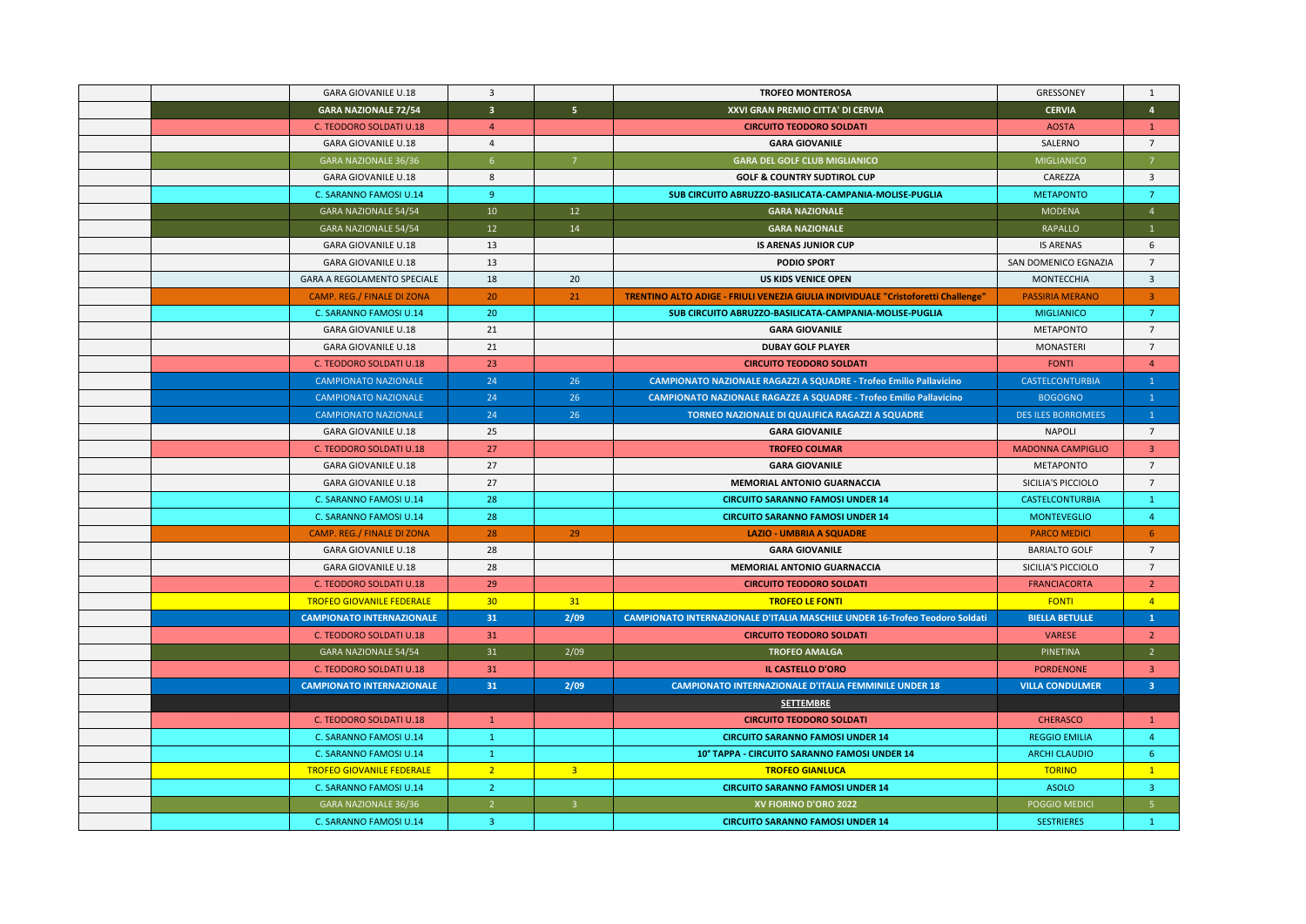| <b>GARA GIOVANILE U.18</b>         | $\overline{3}$          |                | <b>TROFEO MONTEROSA</b>                                                            | GRESSONEY                 | $\mathbf{1}$            |
|------------------------------------|-------------------------|----------------|------------------------------------------------------------------------------------|---------------------------|-------------------------|
| <b>GARA NAZIONALE 72/54</b>        | $\overline{\mathbf{3}}$ | 5 <sub>1</sub> | XXVI GRAN PREMIO CITTA' DI CERVIA                                                  | <b>CERVIA</b>             | $\overline{4}$          |
| C. TEODORO SOLDATI U.18            | $\overline{4}$          |                | <b>CIRCUITO TEODORO SOLDATI</b>                                                    | <b>AOSTA</b>              | $\mathbf{1}$            |
| <b>GARA GIOVANILE U.18</b>         | $\overline{4}$          |                | <b>GARA GIOVANILE</b>                                                              | SALERNO                   | $7^{\circ}$             |
| GARA NAZIONALE 36/36               | $6\overline{6}$         | $\overline{7}$ | <b>GARA DEL GOLF CLUB MIGLIANICO</b>                                               | MIGLIANICO                | $\overline{7}$          |
| <b>GARA GIOVANILE U.18</b>         | 8                       |                | <b>GOLF &amp; COUNTRY SUDTIROL CUP</b>                                             | CAREZZA                   | $\overline{\mathbf{3}}$ |
| C. SARANNO FAMOSI U.14             | $9^{\circ}$             |                | SUB CIRCUITO ABRUZZO-BASILICATA-CAMPANIA-MOLISE-PUGLIA                             | <b>METAPONTO</b>          | $7^{\circ}$             |
| GARA NAZIONALE 54/54               | 10                      | 12             | <b>GARA NAZIONALE</b>                                                              | MODENA                    | $\overline{4}$          |
| GARA NAZIONALE 54/54               | 12                      | 14             | <b>GARA NAZIONALE</b>                                                              | RAPALLO                   | $\overline{1}$          |
| <b>GARA GIOVANILE U.18</b>         | 13                      |                | <b>IS ARENAS JUNIOR CUP</b>                                                        | <b>IS ARENAS</b>          | 6                       |
| <b>GARA GIOVANILE U.18</b>         | 13                      |                | <b>PODIO SPORT</b>                                                                 | SAN DOMENICO EGNAZIA      | $\overline{7}$          |
| <b>GARA A REGOLAMENTO SPECIALE</b> | 18                      | 20             | <b>US KIDS VENICE OPEN</b>                                                         | <b>MONTECCHIA</b>         | $\overline{3}$          |
| <b>CAMP. REG./ FINALE DI ZONA</b>  | 20                      | 21             | TRENTINO ALTO ADIGE - FRIULI VENEZIA GIULIA INDIVIDUALE "Cristoforetti Challenge"  | <b>PASSIRIA MERANO</b>    | $\overline{3}$          |
| C. SARANNO FAMOSI U.14             | 20                      |                | SUB CIRCUITO ABRUZZO-BASILICATA-CAMPANIA-MOLISE-PUGLIA                             | <b>MIGLIANICO</b>         | $\overline{7}$          |
| <b>GARA GIOVANILE U.18</b>         | 21                      |                | <b>GARA GIOVANILE</b>                                                              | <b>METAPONTO</b>          | $\overline{7}$          |
| <b>GARA GIOVANILE U.18</b>         | 21                      |                | <b>DUBAY GOLF PLAYER</b>                                                           | MONASTERI                 | $\overline{7}$          |
| C. TEODORO SOLDATI U.18            | 23                      |                | <b>CIRCUITO TEODORO SOLDATI</b>                                                    | <b>FONTI</b>              | $\overline{4}$          |
| <b>CAMPIONATO NAZIONALE</b>        | 24                      | 26             | <b>CAMPIONATO NAZIONALE RAGAZZI A SQUADRE - Trofeo Emilio Pallavicino</b>          | <b>CASTELCONTURBIA</b>    | $\mathbf{1}$            |
| <b>CAMPIONATO NAZIONALE</b>        | 24                      | 26             | CAMPIONATO NAZIONALE RAGAZZE A SQUADRE - Trofeo Emilio Pallavicino                 | <b>BOGOGNO</b>            | $\mathbf{1}$            |
| <b>CAMPIONATO NAZIONALE</b>        | 24                      | 26             | <b>TORNEO NAZIONALE DI QUALIFICA RAGAZZI A SQUADRE</b>                             | <b>DES ILES BORROMEES</b> | $\mathbf{1}$            |
| <b>GARA GIOVANILE U.18</b>         | 25                      |                | <b>GARA GIOVANILE</b>                                                              | <b>NAPOLI</b>             | $7\overline{ }$         |
| C. TEODORO SOLDATI U.18            | 27                      |                | <b>TROFEO COLMAR</b>                                                               | <b>MADONNA CAMPIGLIO</b>  | $\overline{3}$          |
| <b>GARA GIOVANILE U.18</b>         | 27                      |                | <b>GARA GIOVANILE</b>                                                              | <b>METAPONTO</b>          | $\overline{7}$          |
| <b>GARA GIOVANILE U.18</b>         | 27                      |                | <b>MEMORIAL ANTONIO GUARNACCIA</b>                                                 | SICILIA'S PICCIOLO        | $7^{\circ}$             |
| C. SARANNO FAMOSI U.14             | 28                      |                | <b>CIRCUITO SARANNO FAMOSI UNDER 14</b>                                            | <b>CASTELCONTURBIA</b>    | $\mathbf{1}$            |
| C. SARANNO FAMOSI U.14             | 28                      |                | <b>CIRCUITO SARANNO FAMOSI UNDER 14</b>                                            | <b>MONTEVEGLIO</b>        | $\overline{4}$          |
| CAMP. REG./ FINALE DI ZONA         | 28                      | 29             | <b>LAZIO - UMBRIA A SQUADRE</b>                                                    | <b>PARCO MEDICI</b>       | 6                       |
| <b>GARA GIOVANILE U.18</b>         | 28                      |                | <b>GARA GIOVANILE</b>                                                              | <b>BARIALTO GOLF</b>      | $7\overline{ }$         |
| <b>GARA GIOVANILE U.18</b>         | 28                      |                | <b>MEMORIAL ANTONIO GUARNACCIA</b>                                                 | SICILIA'S PICCIOLO        | $7\overline{ }$         |
| C. TEODORO SOLDATI U.18            | 29                      |                | <b>CIRCUITO TEODORO SOLDATI</b>                                                    | <b>FRANCIACORTA</b>       | $\overline{2}$          |
| <b>TROFEO GIOVANILE FEDERALE</b>   | 30 <sub>2</sub>         | 31             | <b>TROFEO LE FONTI</b>                                                             | <b>FONTI</b>              | $\overline{4}$          |
| <b>CAMPIONATO INTERNAZIONALE</b>   | 31                      | 2/09           | <b>CAMPIONATO INTERNAZIONALE D'ITALIA MASCHILE UNDER 16-Trofeo Teodoro Soldati</b> | <b>BIELLA BETULLE</b>     | $\mathbf{1}$            |
| C. TEODORO SOLDATI U.18            | 31                      |                | <b>CIRCUITO TEODORO SOLDATI</b>                                                    | <b>VARESE</b>             | <sup>2</sup>            |
| <b>GARA NAZIONALE 54/54</b>        | 31                      | 2/09           | <b>TROFEO AMALGA</b>                                                               | PINETINA                  | $\overline{2}$          |
| C. TEODORO SOLDATI U.18            | 31                      |                | <b>IL CASTELLO D'ORO</b>                                                           | <b>PORDENONE</b>          | $\overline{3}$          |
| <b>CAMPIONATO INTERNAZIONALE</b>   | 31                      | 2/09           | <b>CAMPIONATO INTERNAZIONALE D'ITALIA FEMMINILE UNDER 18</b>                       | <b>VILLA CONDULMER</b>    | 3 <sup>°</sup>          |
|                                    |                         |                | <b>SETTEMBRE</b>                                                                   |                           |                         |
| C. TEODORO SOLDATI U.18            | $\mathbf{1}$            |                | <b>CIRCUITO TEODORO SOLDATI</b>                                                    | <b>CHERASCO</b>           | $\mathbf{1}$            |
| C. SARANNO FAMOSI U.14             | $\mathbf{1}$            |                | <b>CIRCUITO SARANNO FAMOSI UNDER 14</b>                                            | <b>REGGIO EMILIA</b>      | $\overline{4}$          |
| C. SARANNO FAMOSI U.14             | $\mathbf{1}$            |                | 10° TAPPA - CIRCUITO SARANNO FAMOSI UNDER 14                                       | <b>ARCHI CLAUDIO</b>      | -6                      |
| <b>TROFEO GIOVANILE FEDERALE</b>   | 2 <sup>7</sup>          | $\overline{3}$ | <b>TROFEO GIANLUCA</b>                                                             | <b>TORINO</b>             | $\mathbf{1}$            |
| C. SARANNO FAMOSI U.14             | $\overline{2}$          |                | <b>CIRCUITO SARANNO FAMOSI UNDER 14</b>                                            | <b>ASOLO</b>              | $\overline{3}$          |
| <b>GARA NAZIONALE 36/36</b>        | 2 <sup>1</sup>          | $\overline{3}$ | XV FIORINO D'ORO 2022                                                              | POGGIO MEDICI             | $\overline{5}$          |
| C. SARANNO FAMOSI U.14             | $\overline{3}$          |                | <b>CIRCUITO SARANNO FAMOSI UNDER 14</b>                                            | <b>SESTRIERES</b>         | $\mathbf{1}$            |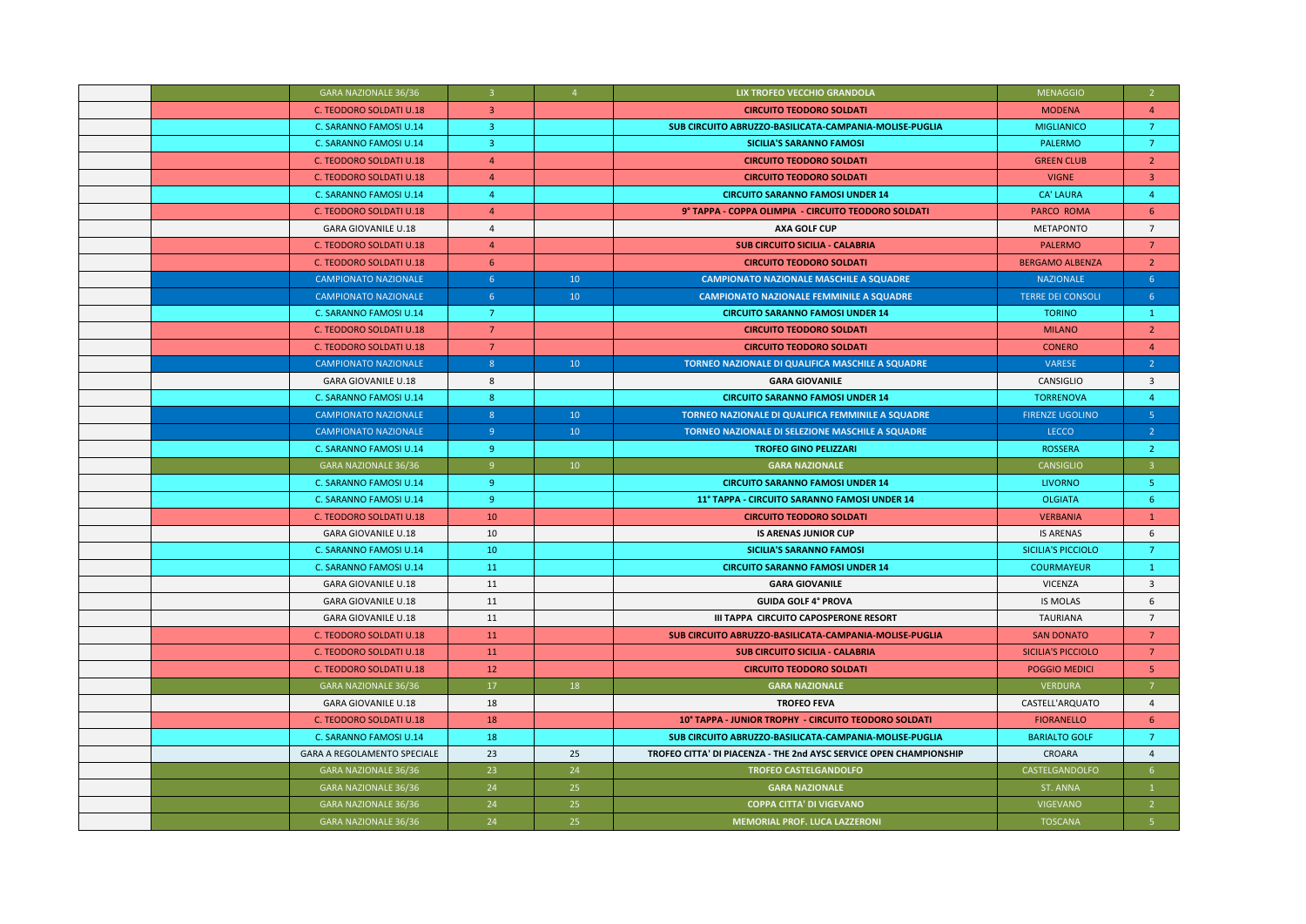| GARA NAZIONALE 36/36               | $\overline{3}$ | $\overline{4}$  | LIX TROFEO VECCHIO GRANDOLA                                        | <b>MENAGGIO</b>           | $\overline{2}$  |
|------------------------------------|----------------|-----------------|--------------------------------------------------------------------|---------------------------|-----------------|
| C. TEODORO SOLDATI U.18            | $\overline{3}$ |                 | <b>CIRCUITO TEODORO SOLDATI</b>                                    | <b>MODENA</b>             | $\overline{4}$  |
| C. SARANNO FAMOSI U.14             | $\overline{3}$ |                 | SUB CIRCUITO ABRUZZO-BASILICATA-CAMPANIA-MOLISE-PUGLIA             | <b>MIGLIANICO</b>         | $7^{\circ}$     |
| C. SARANNO FAMOSI U.14             | $\overline{3}$ |                 | <b>SICILIA'S SARANNO FAMOSI</b>                                    | PALERMO                   | $\overline{7}$  |
| C. TEODORO SOLDATI U.18            | $\overline{4}$ |                 | <b>CIRCUITO TEODORO SOLDATI</b>                                    | <b>GREEN CLUB</b>         | $\overline{2}$  |
| C. TEODORO SOLDATI U.18            | $\overline{4}$ |                 | <b>CIRCUITO TEODORO SOLDATI</b>                                    | <b>VIGNE</b>              | $\overline{3}$  |
| C. SARANNO FAMOSI U.14             | $\overline{4}$ |                 | <b>CIRCUITO SARANNO FAMOSI UNDER 14</b>                            | <b>CA' LAURA</b>          | $\overline{4}$  |
| C. TEODORO SOLDATI U.18            | $\overline{4}$ |                 | 9° TAPPA - COPPA OLIMPIA - CIRCUITO TEODORO SOLDATI                | <b>PARCO ROMA</b>         | 6               |
| <b>GARA GIOVANILE U.18</b>         | $\overline{4}$ |                 | <b>AXA GOLF CUP</b>                                                | <b>METAPONTO</b>          | $7^{\circ}$     |
| C. TEODORO SOLDATI U.18            | $\overline{4}$ |                 | <b>SUB CIRCUITO SICILIA - CALABRIA</b>                             | <b>PALERMO</b>            | 7               |
| C. TEODORO SOLDATI U.18            | 6              |                 | <b>CIRCUITO TEODORO SOLDATI</b>                                    | <b>BERGAMO ALBENZA</b>    | $\overline{2}$  |
| <b>CAMPIONATO NAZIONALE</b>        | 6              | 10              | <b>CAMPIONATO NAZIONALE MASCHILE A SQUADRE</b>                     | <b>NAZIONALE</b>          | 6               |
| <b>CAMPIONATO NAZIONALE</b>        | 6 <sup>1</sup> | 10 <sup>°</sup> | <b>CAMPIONATO NAZIONALE FEMMINILE A SQUADRE</b>                    | <b>TERRE DEI CONSOLI</b>  | 6 <sup>1</sup>  |
| C. SARANNO FAMOSI U.14             | $7^{\circ}$    |                 | <b>CIRCUITO SARANNO FAMOSI UNDER 14</b>                            | <b>TORINO</b>             | $\mathbf{1}$    |
| C. TEODORO SOLDATI U.18            | 7 <sup>7</sup> |                 | <b>CIRCUITO TEODORO SOLDATI</b>                                    | <b>MILANO</b>             | $\overline{2}$  |
| C. TEODORO SOLDATI U.18            | $7^{\circ}$    |                 | <b>CIRCUITO TEODORO SOLDATI</b>                                    | <b>CONERO</b>             | $\overline{4}$  |
| <b>CAMPIONATO NAZIONALE</b>        | 8              | 10 <sup>°</sup> | TORNEO NAZIONALE DI QUALIFICA MASCHILE A SQUADRE                   | VARESE                    | $\overline{2}$  |
| <b>GARA GIOVANILE U.18</b>         | 8              |                 | <b>GARA GIOVANILE</b>                                              | CANSIGLIO                 | $\overline{3}$  |
| C. SARANNO FAMOSI U.14             | 8 <sup>°</sup> |                 | <b>CIRCUITO SARANNO FAMOSI UNDER 14</b>                            | <b>TORRENOVA</b>          | $\overline{4}$  |
| <b>CAMPIONATO NAZIONALE</b>        | 8 <sup>°</sup> | 10 <sup>°</sup> | TORNEO NAZIONALE DI QUALIFICA FEMMINILE A SQUADRE                  | <b>FIRENZE UGOLINO</b>    | 5 <sup>°</sup>  |
| <b>CAMPIONATO NAZIONALE</b>        | 9 <sup>°</sup> | 10 <sup>°</sup> | TORNEO NAZIONALE DI SELEZIONE MASCHILE A SQUADRE                   | LECCO                     | 2 <sup>7</sup>  |
| C. SARANNO FAMOSI U.14             | -9             |                 | <b>TROFEO GINO PELIZZARI</b>                                       | <b>ROSSERA</b>            | $\overline{2}$  |
| GARA NAZIONALE 36/36               | 9 <sup>°</sup> | 10              | <b>GARA NAZIONALE</b>                                              | CANSIGLIO                 | $\overline{3}$  |
| C. SARANNO FAMOSI U.14             | -9             |                 | <b>CIRCUITO SARANNO FAMOSI UNDER 14</b>                            | <b>LIVORNO</b>            | -5              |
| C. SARANNO FAMOSI U.14             | -9             |                 | 11° TAPPA - CIRCUITO SARANNO FAMOSI UNDER 14                       | <b>OLGIATA</b>            | -6              |
| C. TEODORO SOLDATI U.18            | 10             |                 | <b>CIRCUITO TEODORO SOLDATI</b>                                    | <b>VERBANIA</b>           | $\mathbf{1}$    |
| <b>GARA GIOVANILE U.18</b>         | 10             |                 | <b>IS ARENAS JUNIOR CUP</b>                                        | <b>IS ARENAS</b>          | 6               |
| C. SARANNO FAMOSI U.14             | 10             |                 | <b>SICILIA'S SARANNO FAMOSI</b>                                    | SICILIA'S PICCIOLO        | $7\overline{ }$ |
| C. SARANNO FAMOSI U.14             | 11             |                 | <b>CIRCUITO SARANNO FAMOSI UNDER 14</b>                            | <b>COURMAYEUR</b>         | $\mathbf{1}$    |
| <b>GARA GIOVANILE U.18</b>         | 11             |                 | <b>GARA GIOVANILE</b>                                              | <b>VICENZA</b>            | $\overline{3}$  |
| <b>GARA GIOVANILE U.18</b>         | 11             |                 | <b>GUIDA GOLF 4° PROVA</b>                                         | <b>IS MOLAS</b>           | 6               |
| <b>GARA GIOVANILE U.18</b>         | 11             |                 | III TAPPA CIRCUITO CAPOSPERONE RESORT                              | <b>TAURIANA</b>           | $\overline{7}$  |
| C. TEODORO SOLDATI U.18            | 11             |                 | SUB CIRCUITO ABRUZZO-BASILICATA-CAMPANIA-MOLISE-PUGLIA             | <b>SAN DONATO</b>         | $7\overline{ }$ |
| C. TEODORO SOLDATI U.18            | 11             |                 | <b>SUB CIRCUITO SICILIA - CALABRIA</b>                             | <b>SICILIA'S PICCIOLO</b> | $\overline{7}$  |
| C. TEODORO SOLDATI U.18            | 12             |                 | <b>CIRCUITO TEODORO SOLDATI</b>                                    | <b>POGGIO MEDICI</b>      | 5               |
| GARA NAZIONALE 36/36               | $17\,$         | 18              | <b>GARA NAZIONALE</b>                                              | <b>VERDURA</b>            | $\overline{7}$  |
| <b>GARA GIOVANILE U.18</b>         | 18             |                 | <b>TROFEO FEVA</b>                                                 | CASTELL'ARQUATO           | $\overline{4}$  |
| C. TEODORO SOLDATI U.18            | 18             |                 | 10° TAPPA - JUNIOR TROPHY - CIRCUITO TEODORO SOLDATI               | <b>FIORANELLO</b>         | 6               |
| C. SARANNO FAMOSI U.14             | 18             |                 | SUB CIRCUITO ABRUZZO-BASILICATA-CAMPANIA-MOLISE-PUGLIA             | <b>BARIALTO GOLF</b>      | $\overline{7}$  |
| <b>GARA A REGOLAMENTO SPECIALE</b> | 23             | 25              | TROFEO CITTA' DI PIACENZA - THE 2nd AYSC SERVICE OPEN CHAMPIONSHIP | CROARA                    | $\overline{4}$  |
| GARA NAZIONALE 36/36               | 23             | 24              | <b>TROFEO CASTELGANDOLFO</b>                                       | CASTELGANDOLFO            | 6 <sup>1</sup>  |
| <b>GARA NAZIONALE 36/36</b>        | 24             | 25              | <b>GARA NAZIONALE</b>                                              | ST. ANNA                  | 1               |
| GARA NAZIONALE 36/36               | 24             | 25              | <b>COPPA CITTA' DI VIGEVANO</b>                                    | <b>VIGEVANO</b>           | $\overline{2}$  |
| <b>GARA NAZIONALE 36/36</b>        | 24             | 25              | <b>MEMORIAL PROF. LUCA LAZZERONI</b>                               | <b>TOSCANA</b>            | -5.             |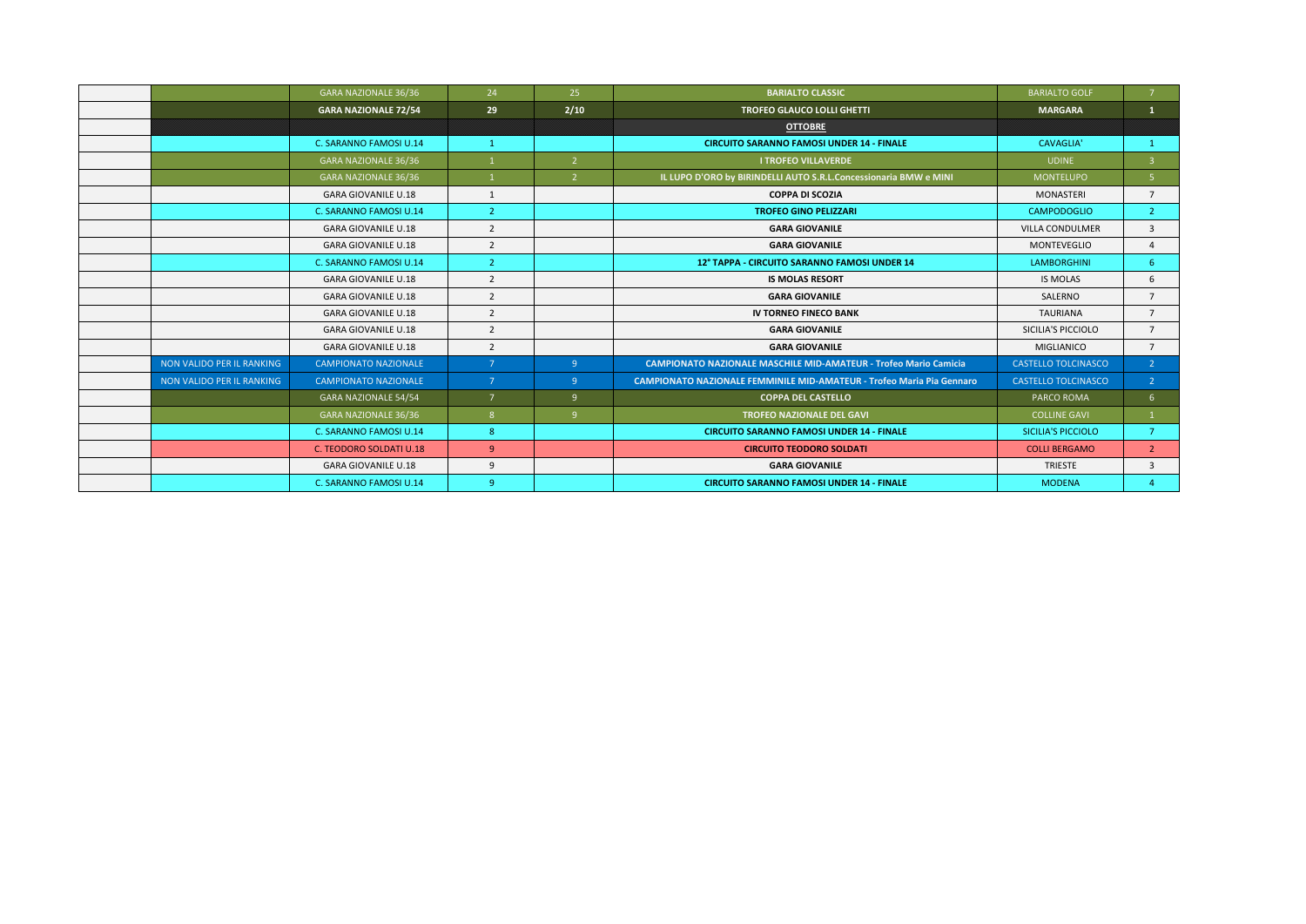|                           | <b>GARA NAZIONALE 36/36</b> | 24             | 25             | <b>BARIALTO CLASSIC</b>                                                      | <b>BARIALTO GOLF</b>       | $\overline{7}$ |
|---------------------------|-----------------------------|----------------|----------------|------------------------------------------------------------------------------|----------------------------|----------------|
|                           | <b>GARA NAZIONALE 72/54</b> | 29             | 2/10           | <b>TROFEO GLAUCO LOLLI GHETTI</b>                                            | <b>MARGARA</b>             | 1              |
|                           |                             |                |                | <b>OTTOBRE</b>                                                               |                            |                |
|                           | C. SARANNO FAMOSI U.14      | $\mathbf{1}$   |                | <b>CIRCUITO SARANNO FAMOSI UNDER 14 - FINALE</b>                             | <b>CAVAGLIA'</b>           |                |
|                           | <b>GARA NAZIONALE 36/36</b> |                | $\overline{2}$ | <b>I TROFEO VILLAVERDE</b>                                                   | <b>UDINE</b>               | $\overline{3}$ |
|                           | <b>GARA NAZIONALE 36/36</b> |                | $\overline{2}$ | IL LUPO D'ORO by BIRINDELLI AUTO S.R.L.Concessionaria BMW e MINI             | <b>MONTELUPO</b>           | 5 <sup>1</sup> |
|                           | <b>GARA GIOVANILE U.18</b>  | $\mathbf{1}$   |                | <b>COPPA DI SCOZIA</b>                                                       | <b>MONASTERI</b>           | $\overline{7}$ |
|                           | C. SARANNO FAMOSI U.14      | 2 <sup>1</sup> |                | <b>TROFEO GINO PELIZZARI</b>                                                 | <b>CAMPODOGLIO</b>         | 2 <sup>1</sup> |
|                           | <b>GARA GIOVANILE U.18</b>  | $\overline{2}$ |                | <b>GARA GIOVANILE</b>                                                        | <b>VILLA CONDULMER</b>     | $\overline{3}$ |
|                           | <b>GARA GIOVANILE U.18</b>  | $\overline{2}$ |                | <b>GARA GIOVANILE</b>                                                        | <b>MONTEVEGLIO</b>         | $\overline{4}$ |
|                           | C. SARANNO FAMOSI U.14      | $\overline{2}$ |                | 12° TAPPA - CIRCUITO SARANNO FAMOSI UNDER 14                                 | <b>LAMBORGHINI</b>         | 6              |
|                           | <b>GARA GIOVANILE U.18</b>  | $\overline{2}$ |                | <b>IS MOLAS RESORT</b>                                                       | <b>IS MOLAS</b>            | 6              |
|                           | <b>GARA GIOVANILE U.18</b>  | $\overline{2}$ |                | <b>GARA GIOVANILE</b>                                                        | SALERNO                    | $\overline{7}$ |
|                           | <b>GARA GIOVANILE U.18</b>  | $\overline{2}$ |                | <b>IV TORNEO FINECO BANK</b>                                                 | <b>TAURIANA</b>            | $\overline{7}$ |
|                           | <b>GARA GIOVANILE U.18</b>  | $\overline{2}$ |                | <b>GARA GIOVANILE</b>                                                        | SICILIA'S PICCIOLO         | $\overline{7}$ |
|                           | <b>GARA GIOVANILE U.18</b>  | $\overline{2}$ |                | <b>GARA GIOVANILE</b>                                                        | MIGLIANICO                 | $\overline{7}$ |
| NON VALIDO PER IL RANKING | <b>CAMPIONATO NAZIONALE</b> | 7 <sup>1</sup> | $\overline{9}$ | <b>CAMPIONATO NAZIONALE MASCHILE MID-AMATEUR - Trofeo Mario Camicia</b>      | <b>CASTELLO TOLCINASCO</b> | 2 <sup>7</sup> |
| NON VALIDO PER IL RANKING | <b>CAMPIONATO NAZIONALE</b> | 7 <sup>7</sup> | $\overline{9}$ | <b>CAMPIONATO NAZIONALE FEMMINILE MID-AMATEUR - Trofeo Maria Pia Gennaro</b> | <b>CASTELLO TOLCINASCO</b> | 2 <sup>7</sup> |
|                           | <b>GARA NAZIONALE 54/54</b> | $\overline{7}$ | 9              | <b>COPPA DEL CASTELLO</b>                                                    | PARCO ROMA                 | 6              |
|                           | <b>GARA NAZIONALE 36/36</b> | 8 <sup>1</sup> | 9              | <b>TROFEO NAZIONALE DEL GAVI</b>                                             | <b>COLLINE GAVI</b>        |                |
|                           | C. SARANNO FAMOSI U.14      | 8              |                | <b>CIRCUITO SARANNO FAMOSI UNDER 14 - FINALE</b>                             | SICILIA'S PICCIOLO         | $\overline{7}$ |
|                           | C. TEODORO SOLDATI U.18     | 9              |                | <b>CIRCUITO TEODORO SOLDATI</b>                                              | <b>COLLI BERGAMO</b>       | $\overline{2}$ |
|                           | <b>GARA GIOVANILE U.18</b>  | 9              |                | <b>GARA GIOVANILE</b>                                                        | <b>TRIESTE</b>             | $\overline{3}$ |
|                           | C. SARANNO FAMOSI U.14      | 9              |                | <b>CIRCUITO SARANNO FAMOSI UNDER 14 - FINALE</b>                             | <b>MODENA</b>              |                |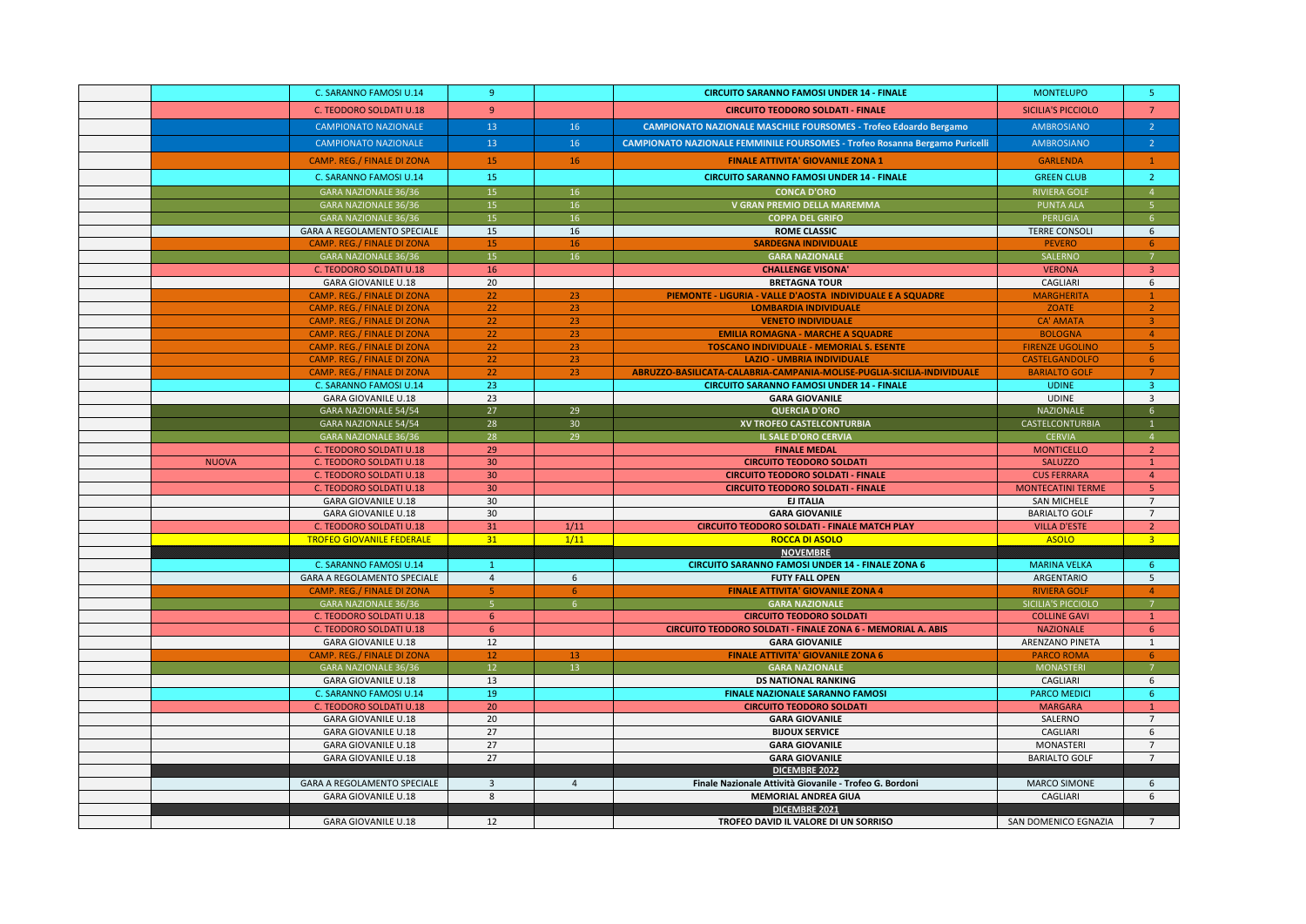|              | C. SARANNO FAMOSI U.14                                                 | -9              |                 | <b>CIRCUITO SARANNO FAMOSI UNDER 14 - FINALE</b>                                   | <b>MONTELUPO</b>                   | -5                               |
|--------------|------------------------------------------------------------------------|-----------------|-----------------|------------------------------------------------------------------------------------|------------------------------------|----------------------------------|
|              | C. TEODORO SOLDATI U.18                                                | 9 <sup>°</sup>  |                 | <b>CIRCUITO TEODORO SOLDATI - FINALE</b>                                           | <b>SICILIA'S PICCIOLO</b>          | $7^{\circ}$                      |
|              | <b>CAMPIONATO NAZIONALE</b>                                            | 13              | 16              | <b>CAMPIONATO NAZIONALE MASCHILE FOURSOMES - Trofeo Edoardo Bergamo</b>            | <b>AMBROSIANO</b>                  | $\overline{2}$                   |
|              | <b>CAMPIONATO NAZIONALE</b>                                            | 13              | 16              | <b>CAMPIONATO NAZIONALE FEMMINILE FOURSOMES - Trofeo Rosanna Bergamo Puricelli</b> | AMBROSIANO                         | $\sqrt{2}$                       |
|              | <b>CAMP. REG./ FINALE DI ZONA</b>                                      | 15              | 16              | <b>FINALE ATTIVITA' GIOVANILE ZONA 1</b>                                           | <b>GARLENDA</b>                    | $\mathbf{1}$                     |
|              |                                                                        |                 |                 |                                                                                    |                                    |                                  |
|              | C. SARANNO FAMOSI U.14                                                 | 15              |                 | <b>CIRCUITO SARANNO FAMOSI UNDER 14 - FINALE</b>                                   | <b>GREEN CLUB</b>                  | $\overline{2}$                   |
|              | GARA NAZIONALE 36/36                                                   | 15              | 16              | <b>CONCA D'ORO</b>                                                                 | <b>RIVIERA GOLF</b>                | $\overline{4}$                   |
|              | <b>GARA NAZIONALE 36/36</b>                                            | 15              | 16              | V GRAN PREMIO DELLA MAREMMA                                                        | <b>PUNTA ALA</b>                   | 5 <sup>1</sup>                   |
|              | <b>GARA NAZIONALE 36/36</b>                                            | 15              | 16              | <b>COPPA DEL GRIFO</b>                                                             | PERUGIA                            | 6 <sup>1</sup>                   |
|              | GARA A REGOLAMENTO SPECIALE                                            | 15              | 16              | <b>ROME CLASSIC</b>                                                                | <b>TERRE CONSOLI</b>               | 6                                |
|              | <b>CAMP. REG./ FINALE DI ZONA</b>                                      | 15              | 16              | <b>SARDEGNA INDIVIDUALE</b>                                                        | <b>PEVERO</b>                      | 6                                |
|              | GARA NAZIONALE 36/36                                                   | 15              | 16              | <b>GARA NAZIONALE</b>                                                              | SALERNO                            | 7 <sup>7</sup>                   |
|              | C. TEODORO SOLDATI U.18                                                | 16              |                 | <b>CHALLENGE VISONA'</b>                                                           | <b>VERONA</b>                      | 3 <sup>°</sup>                   |
|              | <b>GARA GIOVANILE U.18</b>                                             | 20              |                 | <b>BRETAGNA TOUR</b>                                                               | CAGLIARI                           | 6                                |
|              | <b>CAMP. REG./ FINALE DI ZONA</b>                                      | 22<br>22        | 23              | PIEMONTE - LIGURIA - VALLE D'AOSTA INDIVIDUALE E A SQUADRE                         | <b>MARGHERITA</b>                  | $\mathbf{1}$                     |
|              | <b>CAMP. REG./ FINALE DI ZONA</b><br><b>CAMP. REG./ FINALE DI ZONA</b> |                 | 23<br>23        | <b>LOMBARDIA INDIVIDUALE</b>                                                       | ZOATE                              | 2 <sup>1</sup><br>$\overline{3}$ |
|              | <b>CAMP. REG./ FINALE DI ZONA</b>                                      | 22<br>22        | 23              | <b>VENETO INDIVIDUALE</b><br><b>EMILIA ROMAGNA - MARCHE A SQUADRE</b>              | <b>CA' AMATA</b><br><b>BOLOGNA</b> | $\overline{4}$                   |
|              | CAMP. REG./ FINALE DI ZONA                                             | 22              | 23              | <b>TOSCANO INDIVIDUALE - MEMORIAL S. ESENTE</b>                                    | <b>FIRENZE UGOLINO</b>             | 5 <sub>1</sub>                   |
|              | CAMP. REG./ FINALE DI ZONA                                             | 22              | 23              | <b>LAZIO - UMBRIA INDIVIDUALE</b>                                                  | CASTELGANDOLFO                     | 6 <sup>1</sup>                   |
|              | <b>CAMP. REG./ FINALE DI ZONA</b>                                      | 22              | 23              | ABRUZZO-BASILICATA-CALABRIA-CAMPANIA-MOLISE-PUGLIA-SICILIA-INDIVIDUALE             | <b>BARIALTO GOLF</b>               | $7\overline{ }$                  |
|              | C. SARANNO FAMOSI U.14                                                 | 23              |                 | <b>CIRCUITO SARANNO FAMOSI UNDER 14 - FINALE</b>                                   | <b>UDINE</b>                       | 3 <sup>7</sup>                   |
|              | <b>GARA GIOVANILE U.18</b>                                             | 23              |                 | <b>GARA GIOVANILE</b>                                                              | <b>UDINE</b>                       | $\overline{3}$                   |
|              | GARA NAZIONALE 54/54                                                   | 27              | 29              | <b>QUERCIA D'ORO</b>                                                               | <b>NAZIONALE</b>                   | 6 <sup>1</sup>                   |
|              | <b>GARA NAZIONALE 54/54</b>                                            | 28              | 30 <sup>°</sup> | XV TROFEO CASTELCONTURBIA                                                          | CASTELCONTURBIA                    | $\mathbf{1}$                     |
|              | <b>GARA NAZIONALE 36/36</b>                                            | 28              | 29              | IL SALE D'ORO CERVIA                                                               | <b>CERVIA</b>                      | 4 <sup>1</sup>                   |
|              | C. TEODORO SOLDATI U.18                                                | 29              |                 | <b>FINALE MEDAL</b>                                                                | <b>MONTICELLO</b>                  | $\overline{2}$                   |
| <b>NUOVA</b> | C. TEODORO SOLDATI U.18                                                | 30 <sub>2</sub> |                 | <b>CIRCUITO TEODORO SOLDATI</b>                                                    | <b>SALUZZO</b>                     | $\mathbf{1}$                     |
|              | C. TEODORO SOLDATI U.18                                                | 30 <sub>o</sub> |                 | <b>CIRCUITO TEODORO SOLDATI - FINALE</b>                                           | <b>CUS FERRARA</b>                 | $\overline{4}$                   |
|              | C. TEODORO SOLDATI U.18                                                | 30 <sup>°</sup> |                 | <b>CIRCUITO TEODORO SOLDATI - FINALE</b>                                           | <b>MONTECATINI TERME</b>           | 5 <sup>°</sup>                   |
|              | <b>GARA GIOVANILE U.18</b>                                             | 30 <sup>°</sup> |                 | <b>EJ ITALIA</b>                                                                   | SAN MICHELE                        | $\overline{7}$                   |
|              | <b>GARA GIOVANILE U.18</b>                                             | 30              |                 | <b>GARA GIOVANILE</b>                                                              | <b>BARIALTO GOLF</b>               | $7\overline{ }$                  |
|              | C. TEODORO SOLDATI U.18                                                | 31              | 1/11            | <b>CIRCUITO TEODORO SOLDATI - FINALE MATCH PLAY</b>                                | <b>VILLA D'ESTE</b>                | $\overline{2}$                   |
|              | <b>TROFEO GIOVANILE FEDERALE</b>                                       | 31              | 1/11            | <b>ROCCA DI ASOLO</b>                                                              | <b>ASOLO</b>                       | 3 <sup>1</sup>                   |
|              |                                                                        |                 |                 | <b>NOVEMBRE</b>                                                                    |                                    |                                  |
|              | C. SARANNO FAMOSI U.14                                                 | $\mathbf{1}$    |                 | <b>CIRCUITO SARANNO FAMOSI UNDER 14 - FINALE ZONA 6</b>                            | <b>MARINA VELKA</b>                | 6 <sup>1</sup>                   |
|              | GARA A REGOLAMENTO SPECIALE                                            | $\overline{4}$  | 6               | <b>FUTY FALL OPEN</b>                                                              | ARGENTARIO                         | 5 <sup>5</sup>                   |
|              | <b>CAMP. REG./ FINALE DI ZONA</b>                                      | 5               | 6               | <b>FINALE ATTIVITA' GIOVANILE ZONA 4</b>                                           | <b>RIVIERA GOLF</b>                | $\overline{4}$                   |
|              | GARA NAZIONALE 36/36                                                   | 5 <sup>1</sup>  | 6 <sup>1</sup>  | <b>GARA NAZIONALE</b>                                                              | SICILIA'S PICCIOLO                 | $\overline{7}$                   |
|              | C. TEODORO SOLDATI U.18                                                | 6 <sup>1</sup>  |                 | <b>CIRCUITO TEODORO SOLDATI</b>                                                    | <b>COLLINE GAVI</b>                | $\mathbf{1}$                     |
|              | C. TEODORO SOLDATI U.18                                                | 6 <sup>1</sup>  |                 | CIRCUITO TEODORO SOLDATI - FINALE ZONA 6 - MEMORIAL A. ABIS                        | <b>NAZIONALE</b>                   | 6 <sup>1</sup>                   |
|              | <b>GARA GIOVANILE U.18</b>                                             | 12              |                 | <b>GARA GIOVANILE</b>                                                              | <b>ARENZANO PINETA</b>             | 1                                |
|              | CAMP. REG./ FINALE DI ZONA                                             | 12              | 13              | <b>FINALE ATTIVITA' GIOVANILE ZONA 6</b>                                           | <b>PARCO ROMA</b>                  | 6                                |
|              | GARA NAZIONALE 36/36                                                   | 12 <sup>7</sup> | 13              | <b>GARA NAZIONALE</b>                                                              | <b>MONASTERI</b>                   | 7 <sup>7</sup>                   |
|              | <b>GARA GIOVANILE U.18</b>                                             | 13              |                 | <b>DS NATIONAL RANKING</b>                                                         | CAGLIARI                           | 6                                |
|              | C. SARANNO FAMOSI U.14                                                 | 19              |                 | <b>FINALE NAZIONALE SARANNO FAMOSI</b>                                             | <b>PARCO MEDICI</b>                | 6                                |
|              | C. TEODORO SOLDATI U.18                                                | 20              |                 | <b>CIRCUITO TEODORO SOLDATI</b>                                                    | <b>MARGARA</b>                     | $\mathbf{1}$                     |
|              | <b>GARA GIOVANILE U.18</b>                                             | 20<br>27        |                 | <b>GARA GIOVANILE</b>                                                              | SALERNO                            | $\overline{7}$                   |
|              | <b>GARA GIOVANILE U.18</b>                                             |                 |                 | <b>BIJOUX SERVICE</b>                                                              | CAGLIARI                           | 6                                |
|              | <b>GARA GIOVANILE U.18</b><br><b>GARA GIOVANILE U.18</b>               | 27<br>27        |                 | <b>GARA GIOVANILE</b>                                                              | MONASTERI<br><b>BARIALTO GOLF</b>  | $7\overline{ }$<br>$7^{\circ}$   |
|              |                                                                        |                 |                 | <b>GARA GIOVANILE</b><br><b>DICEMBRE 2022</b>                                      |                                    |                                  |
|              | GARA A REGOLAMENTO SPECIALE                                            | $\overline{3}$  | $\overline{4}$  | Finale Nazionale Attività Giovanile - Trofeo G. Bordoni                            | <b>MARCO SIMONE</b>                | 6                                |
|              | <b>GARA GIOVANILE U.18</b>                                             | 8               |                 | <b>MEMORIAL ANDREA GIUA</b>                                                        | CAGLIARI                           | 6                                |
|              |                                                                        |                 |                 | DICEMBRE 2021                                                                      |                                    |                                  |
|              | <b>GARA GIOVANILE U.18</b>                                             | 12              |                 | TROFEO DAVID IL VALORE DI UN SORRISO                                               | SAN DOMENICO EGNAZIA               | $7^{\circ}$                      |
|              |                                                                        |                 |                 |                                                                                    |                                    |                                  |